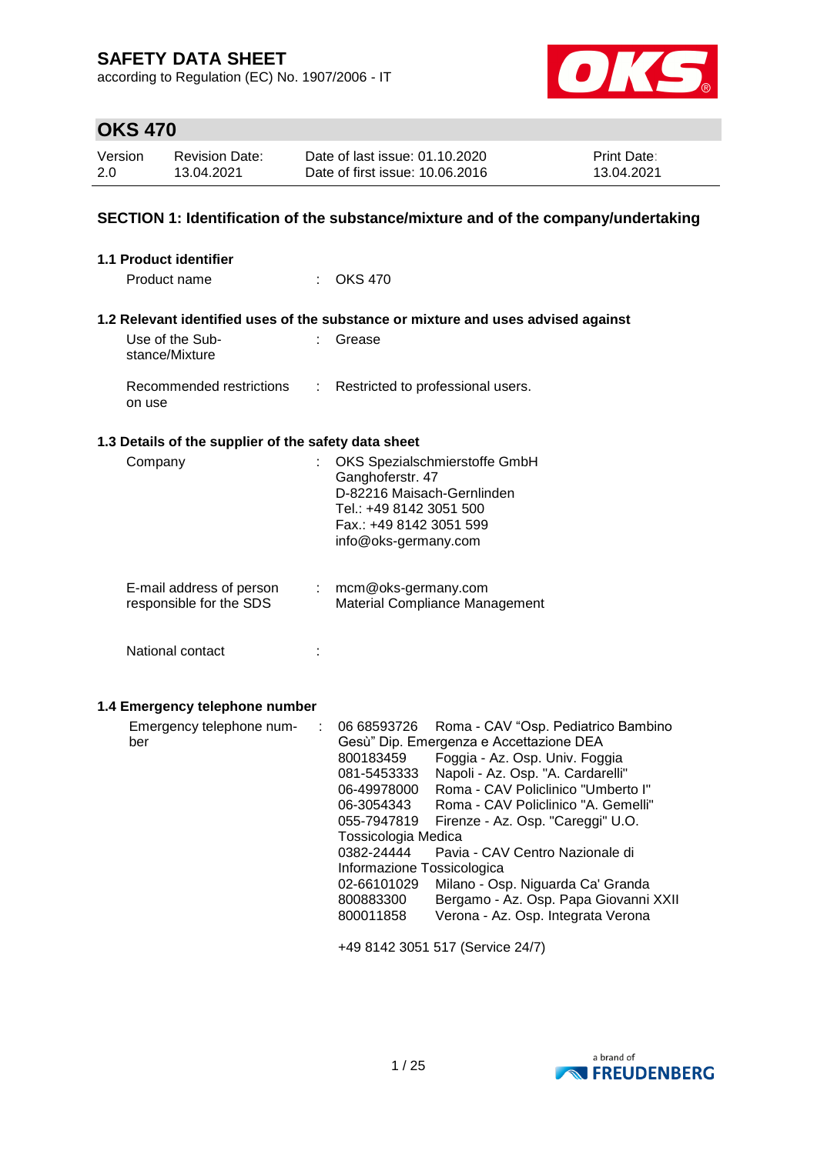according to Regulation (EC) No. 1907/2006 - IT



# **OKS 470**

| Version | <b>Revision Date:</b> | Date of last issue: 01.10.2020  | <b>Print Date:</b> |
|---------|-----------------------|---------------------------------|--------------------|
| 2.0     | 13.04.2021            | Date of first issue: 10.06.2016 | 13.04.2021         |

### **SECTION 1: Identification of the substance/mixture and of the company/undertaking**

| 1.1 Product identifier                                                 |                                                                                                                                                                                                                                                                                                                                                                                                                                                                                                                                                                                                                                                                       |
|------------------------------------------------------------------------|-----------------------------------------------------------------------------------------------------------------------------------------------------------------------------------------------------------------------------------------------------------------------------------------------------------------------------------------------------------------------------------------------------------------------------------------------------------------------------------------------------------------------------------------------------------------------------------------------------------------------------------------------------------------------|
| Product name                                                           | <b>OKS 470</b>                                                                                                                                                                                                                                                                                                                                                                                                                                                                                                                                                                                                                                                        |
|                                                                        | 1.2 Relevant identified uses of the substance or mixture and uses advised against                                                                                                                                                                                                                                                                                                                                                                                                                                                                                                                                                                                     |
| Use of the Sub-<br>t.<br>stance/Mixture                                | Grease                                                                                                                                                                                                                                                                                                                                                                                                                                                                                                                                                                                                                                                                |
| Recommended restrictions<br>÷<br>on use                                | Restricted to professional users.                                                                                                                                                                                                                                                                                                                                                                                                                                                                                                                                                                                                                                     |
| 1.3 Details of the supplier of the safety data sheet                   |                                                                                                                                                                                                                                                                                                                                                                                                                                                                                                                                                                                                                                                                       |
| Company<br>÷                                                           | OKS Spezialschmierstoffe GmbH<br>Ganghoferstr. 47<br>D-82216 Maisach-Gernlinden<br>Tel.: +49 8142 3051 500<br>Fax.: +49 8142 3051 599<br>info@oks-germany.com                                                                                                                                                                                                                                                                                                                                                                                                                                                                                                         |
| E-mail address of person<br>responsible for the SDS                    | : mcm@oks-germany.com<br>Material Compliance Management                                                                                                                                                                                                                                                                                                                                                                                                                                                                                                                                                                                                               |
| National contact                                                       |                                                                                                                                                                                                                                                                                                                                                                                                                                                                                                                                                                                                                                                                       |
| 1.4 Emergency telephone number<br>Emergency telephone num-<br>÷<br>ber | 06 68593726<br>Roma - CAV "Osp. Pediatrico Bambino<br>Gesù" Dip. Emergenza e Accettazione DEA<br>Foggia - Az. Osp. Univ. Foggia<br>800183459<br>Napoli - Az. Osp. "A. Cardarelli"<br>081-5453333<br>Roma - CAV Policlinico "Umberto I"<br>06-49978000<br>Roma - CAV Policlinico "A. Gemelli"<br>06-3054343<br>055-7947819<br>Firenze - Az. Osp. "Careggi" U.O.<br>Tossicologia Medica<br>0382-24444<br>Pavia - CAV Centro Nazionale di<br>Informazione Tossicologica<br>Milano - Osp. Niguarda Ca' Granda<br>02-66101029<br>800883300<br>Bergamo - Az. Osp. Papa Giovanni XXII<br>Verona - Az. Osp. Integrata Verona<br>800011858<br>+49 8142 3051 517 (Service 24/7) |

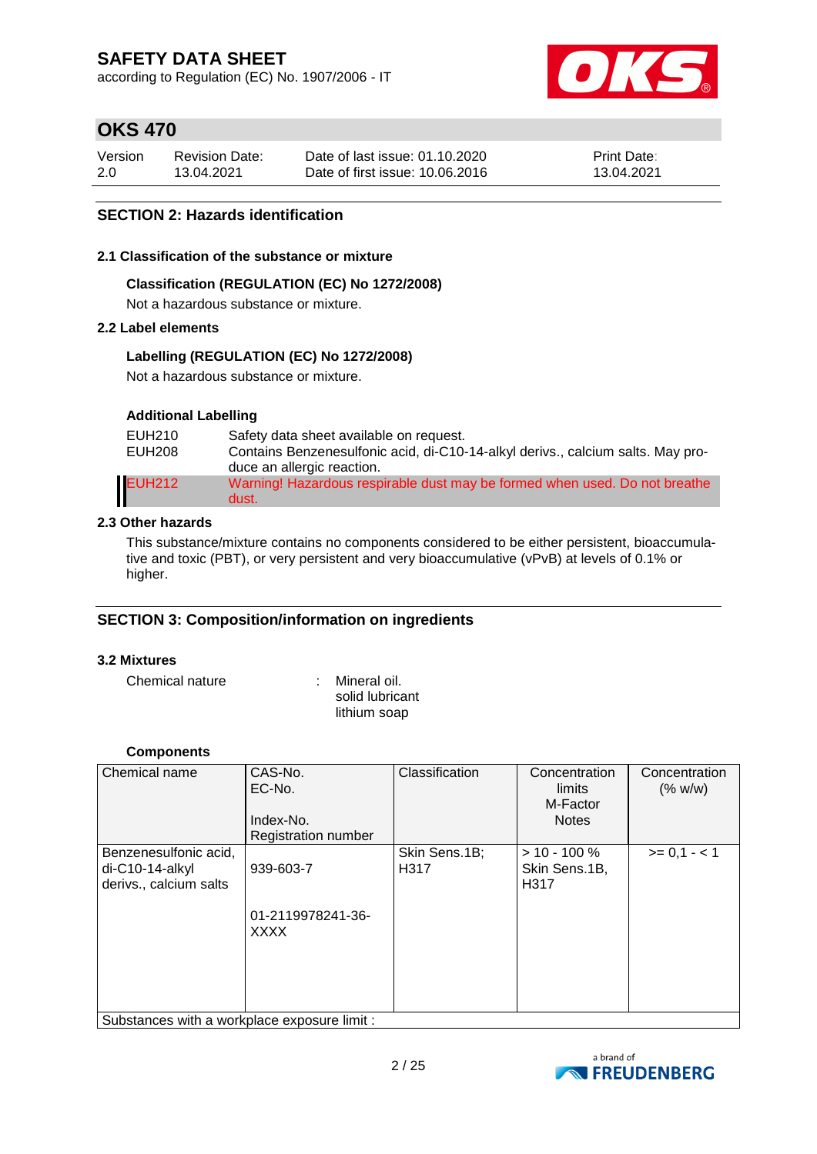according to Regulation (EC) No. 1907/2006 - IT



### **OKS 470**

| Version | <b>Revision Date:</b> | Date of last issue: 01.10.2020  | <b>Print Date:</b> |
|---------|-----------------------|---------------------------------|--------------------|
| 2.0     | 13.04.2021            | Date of first issue: 10.06.2016 | 13.04.2021         |

### **SECTION 2: Hazards identification**

#### **2.1 Classification of the substance or mixture**

#### **Classification (REGULATION (EC) No 1272/2008)**

Not a hazardous substance or mixture.

#### **2.2 Label elements**

#### **Labelling (REGULATION (EC) No 1272/2008)**

Not a hazardous substance or mixture.

#### **Additional Labelling**

| EUH210<br><b>EUH208</b> | Safety data sheet available on request.<br>Contains Benzenesulfonic acid, di-C10-14-alkyl derivs., calcium salts. May pro-<br>duce an allergic reaction. |
|-------------------------|----------------------------------------------------------------------------------------------------------------------------------------------------------|
| <b>EUH212</b>           | Warning! Hazardous respirable dust may be formed when used. Do not breathe<br>dust.                                                                      |

#### **2.3 Other hazards**

This substance/mixture contains no components considered to be either persistent, bioaccumulative and toxic (PBT), or very persistent and very bioaccumulative (vPvB) at levels of 0.1% or higher.

#### **SECTION 3: Composition/information on ingredients**

#### **3.2 Mixtures**

Chemical nature : Mineral oil.

solid lubricant lithium soap

#### **Components**

| Chemical name                                                        | CAS-No.<br>EC-No.<br>Index-No.<br><b>Registration number</b> | Classification        | Concentration<br>limits<br>M-Factor<br><b>Notes</b> | Concentration<br>(% w/w) |
|----------------------------------------------------------------------|--------------------------------------------------------------|-----------------------|-----------------------------------------------------|--------------------------|
| Benzenesulfonic acid,<br>$di-C10-14-alkyl$<br>derivs., calcium salts | 939-603-7<br>01-2119978241-36-<br><b>XXXX</b>                | Skin Sens.1B;<br>H317 | $> 10 - 100 \%$<br>Skin Sens.1B,<br>H317            | $>= 0,1 - 1$             |
| Substances with a workplace exposure limit :                         |                                                              |                       |                                                     |                          |

Substances with a workplace exposure limit :

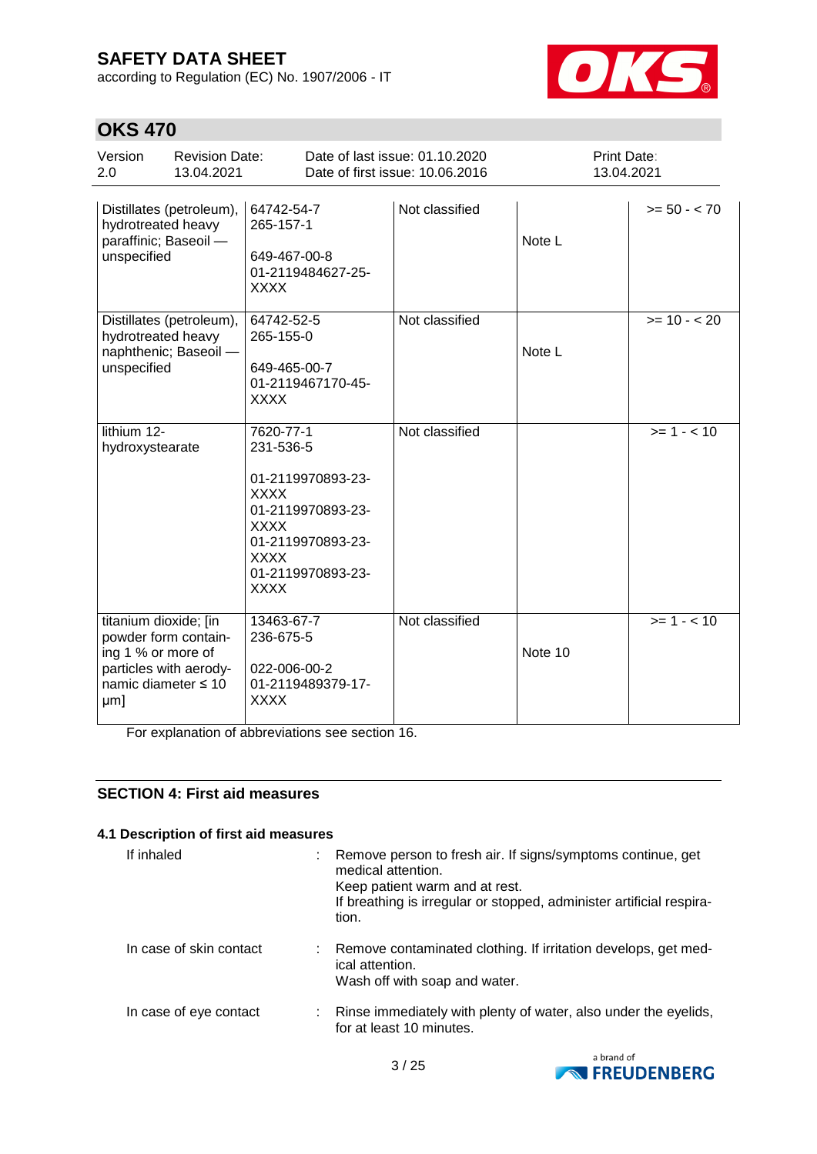according to Regulation (EC) No. 1907/2006 - IT



# **OKS 470**

| Version<br><b>Revision Date:</b><br>2.0<br>13.04.2021                                                                       |                                                                                                                                                                        | Date of last issue: 01.10.2020<br>Date of first issue: 10.06.2016 | Print Date:<br>13.04.2021 |                |
|-----------------------------------------------------------------------------------------------------------------------------|------------------------------------------------------------------------------------------------------------------------------------------------------------------------|-------------------------------------------------------------------|---------------------------|----------------|
| Distillates (petroleum),<br>hydrotreated heavy<br>paraffinic; Baseoil -<br>unspecified                                      | 64742-54-7<br>265-157-1<br>649-467-00-8<br>01-2119484627-25-<br><b>XXXX</b>                                                                                            | Not classified                                                    | Note L                    | $>= 50 - < 70$ |
| Distillates (petroleum),<br>hydrotreated heavy<br>naphthenic; Baseoil -<br>unspecified                                      | 64742-52-5<br>265-155-0<br>649-465-00-7<br>01-2119467170-45-<br><b>XXXX</b>                                                                                            | Not classified                                                    | Note L                    | $>= 10 - 20$   |
| lithium 12-<br>hydroxystearate                                                                                              | 7620-77-1<br>231-536-5<br>01-2119970893-23-<br><b>XXXX</b><br>01-2119970893-23-<br><b>XXXX</b><br>01-2119970893-23-<br><b>XXXX</b><br>01-2119970893-23-<br><b>XXXX</b> | Not classified                                                    |                           | $>= 1 - 10$    |
| titanium dioxide; [in<br>powder form contain-<br>ing 1 % or more of<br>particles with aerody-<br>namic diameter ≤ 10<br>µm] | 13463-67-7<br>236-675-5<br>022-006-00-2<br>01-2119489379-17-<br><b>XXXX</b>                                                                                            | Not classified                                                    | Note 10                   | $>= 1 - 10$    |

For explanation of abbreviations see section 16.

### **SECTION 4: First aid measures**

#### **4.1 Description of first aid measures**

| If inhaled              | tion. | Remove person to fresh air. If signs/symptoms continue, get<br>medical attention.<br>Keep patient warm and at rest.<br>If breathing is irregular or stopped, administer artificial respira- |
|-------------------------|-------|---------------------------------------------------------------------------------------------------------------------------------------------------------------------------------------------|
| In case of skin contact |       | : Remove contaminated clothing. If irritation develops, get med-<br>ical attention.<br>Wash off with soap and water.                                                                        |
| In case of eye contact  |       | : Rinse immediately with plenty of water, also under the eyelids,<br>for at least 10 minutes.                                                                                               |

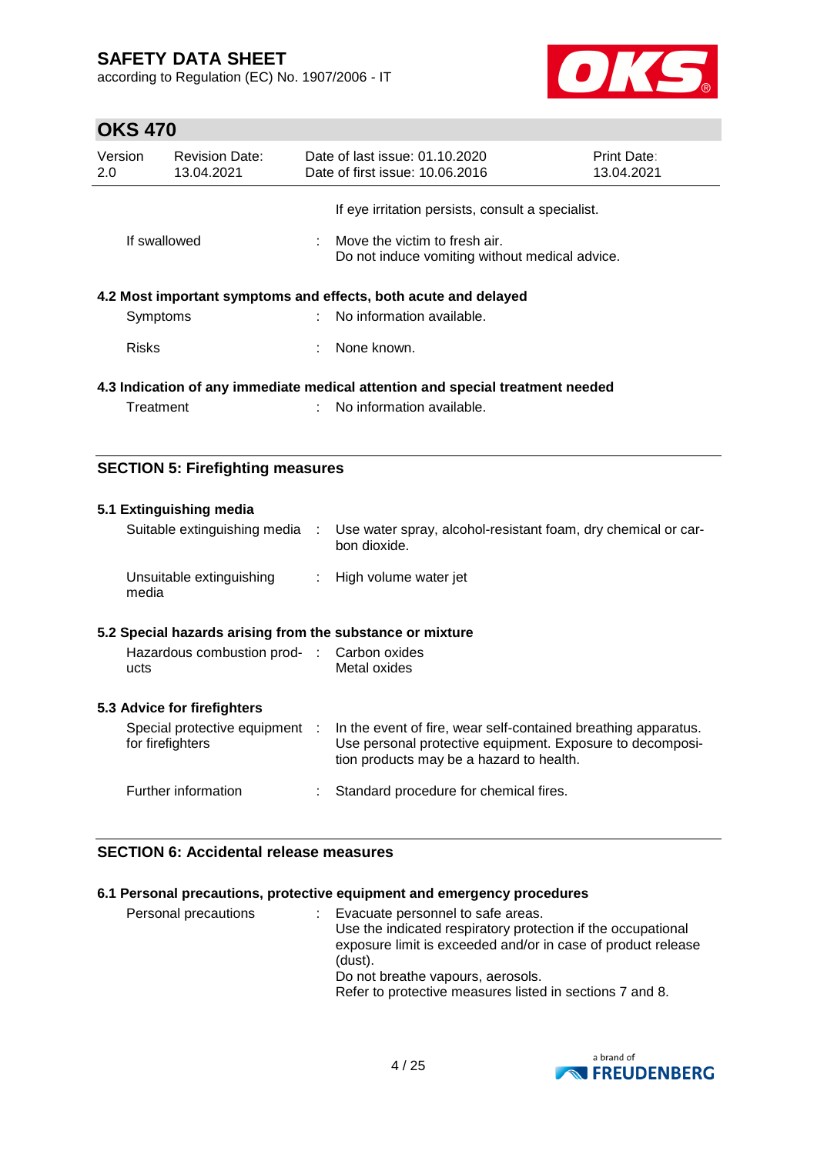according to Regulation (EC) No. 1907/2006 - IT



# **OKS 470**

| Version<br>2.0 |              | <b>Revision Date:</b><br>13.04.2021 | Date of last issue: 01.10.2020<br>Date of first issue: 10.06.2016               | <b>Print Date:</b><br>13.04.2021 |
|----------------|--------------|-------------------------------------|---------------------------------------------------------------------------------|----------------------------------|
|                |              |                                     | If eye irritation persists, consult a specialist.                               |                                  |
|                | If swallowed |                                     | Move the victim to fresh air.<br>Do not induce vomiting without medical advice. |                                  |
|                |              |                                     | 4.2 Most important symptoms and effects, both acute and delayed                 |                                  |
|                | Symptoms     |                                     | $\therefore$ No information available.                                          |                                  |
|                | <b>Risks</b> |                                     | None known.                                                                     |                                  |
|                |              |                                     | 4.3 Indication of any immediate medical attention and special treatment needed  |                                  |
|                | Treatment    |                                     | No information available.                                                       |                                  |
|                |              |                                     |                                                                                 |                                  |

### **SECTION 5: Firefighting measures**

| 5.1 Extinguishing media<br>Suitable extinguishing media :                                                       | Use water spray, alcohol-resistant foam, dry chemical or car-<br>bon dioxide.                                                                                           |
|-----------------------------------------------------------------------------------------------------------------|-------------------------------------------------------------------------------------------------------------------------------------------------------------------------|
| Unsuitable extinguishing<br>media                                                                               | : High volume water jet                                                                                                                                                 |
| 5.2 Special hazards arising from the substance or mixture<br>Hazardous combustion prod- : Carbon oxides<br>ucts | Metal oxides                                                                                                                                                            |
| 5.3 Advice for firefighters<br>Special protective equipment :<br>for firefighters                               | In the event of fire, wear self-contained breathing apparatus.<br>Use personal protective equipment. Exposure to decomposi-<br>tion products may be a hazard to health. |
| Further information                                                                                             | Standard procedure for chemical fires.                                                                                                                                  |

### **SECTION 6: Accidental release measures**

### **6.1 Personal precautions, protective equipment and emergency procedures**

| Personal precautions |  | : Evacuate personnel to safe areas.<br>Use the indicated respiratory protection if the occupational<br>exposure limit is exceeded and/or in case of product release<br>(dust).<br>Do not breathe vapours, aerosols.<br>Refer to protective measures listed in sections 7 and 8. |
|----------------------|--|---------------------------------------------------------------------------------------------------------------------------------------------------------------------------------------------------------------------------------------------------------------------------------|
|----------------------|--|---------------------------------------------------------------------------------------------------------------------------------------------------------------------------------------------------------------------------------------------------------------------------------|

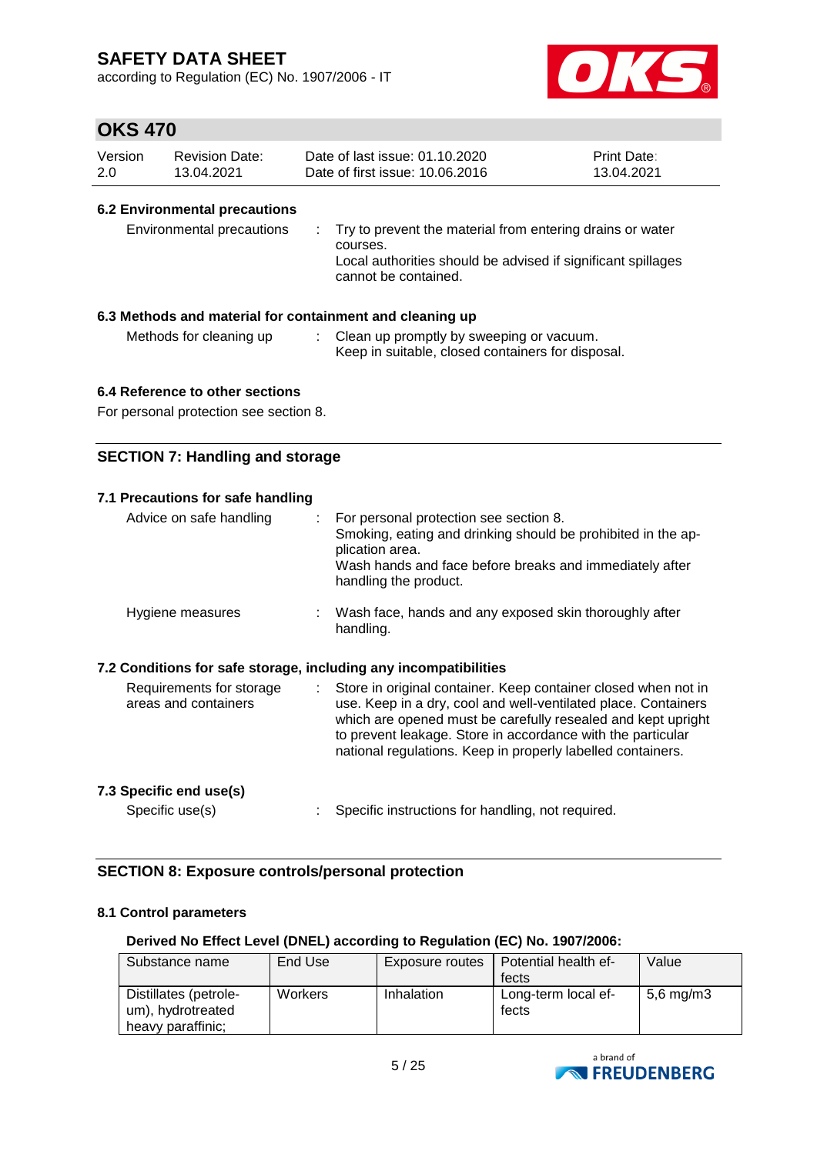according to Regulation (EC) No. 1907/2006 - IT



### **OKS 470**

| Version | <b>Revision Date:</b> | Date of last issue: 01.10.2020  | <b>Print Date:</b> |
|---------|-----------------------|---------------------------------|--------------------|
| 2.0     | 13.04.2021            | Date of first issue: 10.06.2016 | 13.04.2021         |

#### **6.2 Environmental precautions**

| Environmental precautions | . Try to prevent the material from entering drains or water<br>courses.<br>Local authorities should be advised if significant spillages<br>cannot be contained. |
|---------------------------|-----------------------------------------------------------------------------------------------------------------------------------------------------------------|
|---------------------------|-----------------------------------------------------------------------------------------------------------------------------------------------------------------|

#### **6.3 Methods and material for containment and cleaning up**

Methods for cleaning up : Clean up promptly by sweeping or vacuum. Keep in suitable, closed containers for disposal.

### **6.4 Reference to other sections**

For personal protection see section 8.

### **SECTION 7: Handling and storage**

| 7.1 Precautions for safe handling                                |                                                                                                                                                                                                                                                              |
|------------------------------------------------------------------|--------------------------------------------------------------------------------------------------------------------------------------------------------------------------------------------------------------------------------------------------------------|
| Advice on safe handling                                          | For personal protection see section 8.<br>Smoking, eating and drinking should be prohibited in the ap-<br>plication area.<br>Wash hands and face before breaks and immediately after<br>handling the product.                                                |
| Hygiene measures                                                 | Wash face, hands and any exposed skin thoroughly after<br>handling.                                                                                                                                                                                          |
| 7.2 Conditions for safe storage, including any incompatibilities |                                                                                                                                                                                                                                                              |
| Requirements for storage                                         | Store in original container. Keep container closed when not in<br>÷.                                                                                                                                                                                         |
| areas and containers                                             | use. Keep in a dry, cool and well-ventilated place. Containers<br>which are opened must be carefully resealed and kept upright<br>to prevent leakage. Store in accordance with the particular<br>national regulations. Keep in properly labelled containers. |
| 7.3 Specific end use(s)                                          |                                                                                                                                                                                                                                                              |

### **SECTION 8: Exposure controls/personal protection**

#### **8.1 Control parameters**

#### **Derived No Effect Level (DNEL) according to Regulation (EC) No. 1907/2006:**

| Substance name                                                  | End Use | Exposure routes | Potential health ef-<br>fects | Value                |
|-----------------------------------------------------------------|---------|-----------------|-------------------------------|----------------------|
| Distillates (petrole-<br>um), hydrotreated<br>heavy paraffinic: | Workers | Inhalation      | Long-term local ef-<br>fects  | $5,6 \text{ mg/m}$ 3 |

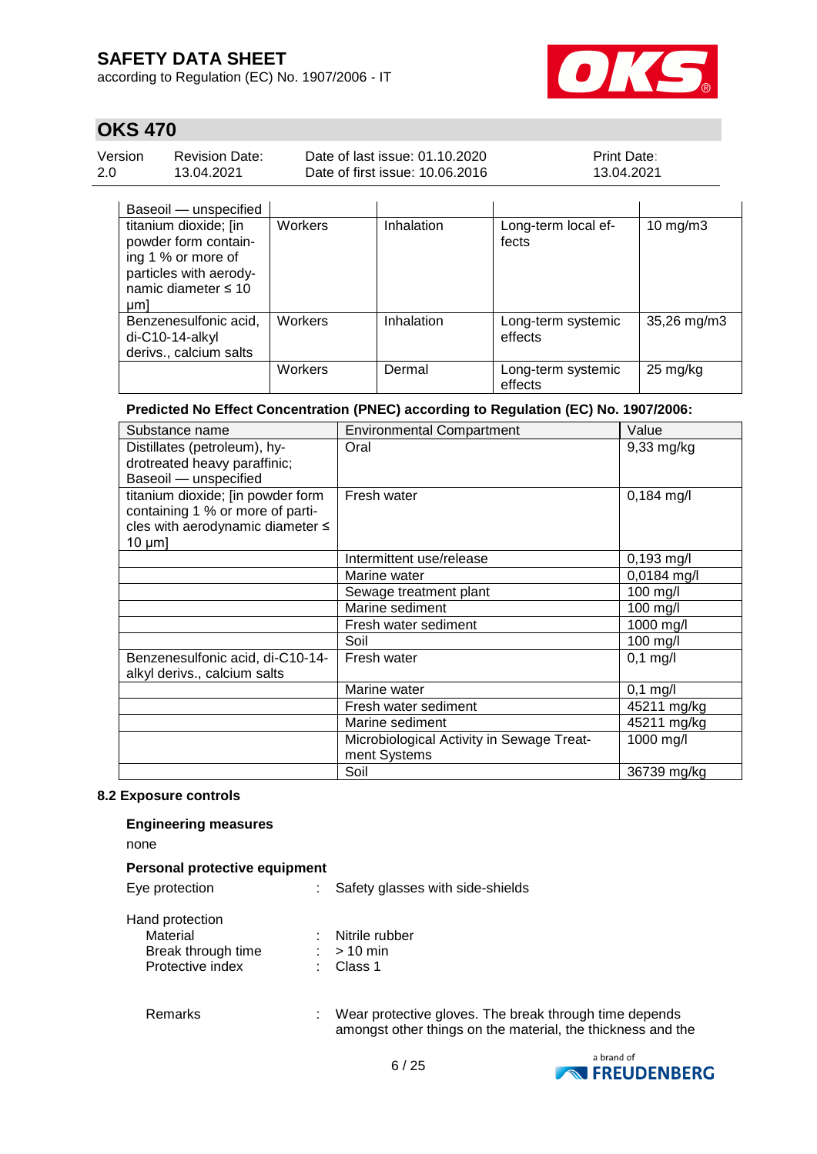according to Regulation (EC) No. 1907/2006 - IT



### **OKS 470**

| Version | <b>Revision Date:</b> | Date of last issue: 01.10.2020  | <b>Print Date:</b> |
|---------|-----------------------|---------------------------------|--------------------|
| 2.0     | 13.04.2021            | Date of first issue: 10.06.2016 | 13.04.2021         |
|         |                       |                                 |                    |

|    | Baseoil — unspecified    |         |            |                     |                    |
|----|--------------------------|---------|------------|---------------------|--------------------|
|    | titanium dioxide; [in    | Workers | Inhalation | Long-term local ef- | $10$ mg/m $3$      |
|    | powder form contain-     |         |            | fects               |                    |
|    | ing 1 % or more of       |         |            |                     |                    |
|    | particles with aerody-   |         |            |                     |                    |
|    | namic diameter $\leq 10$ |         |            |                     |                    |
| µm |                          |         |            |                     |                    |
|    | Benzenesulfonic acid,    | Workers | Inhalation | Long-term systemic  | 35,26 mg/m3        |
|    | di-C10-14-alkyl          |         |            | effects             |                    |
|    | derivs., calcium salts   |         |            |                     |                    |
|    |                          | Workers | Dermal     | Long-term systemic  | $25 \text{ mg/kg}$ |
|    |                          |         |            | effects             |                    |

#### **Predicted No Effect Concentration (PNEC) according to Regulation (EC) No. 1907/2006:**

| Substance name                    | <b>Environmental Compartment</b>          | Value         |
|-----------------------------------|-------------------------------------------|---------------|
| Distillates (petroleum), hy-      | Oral                                      | 9,33 mg/kg    |
| drotreated heavy paraffinic;      |                                           |               |
| Baseoil - unspecified             |                                           |               |
| titanium dioxide; [in powder form | Fresh water                               | 0,184 mg/l    |
| containing 1 % or more of parti-  |                                           |               |
| cles with aerodynamic diameter ≤  |                                           |               |
| $10 \mu m$ ]                      |                                           |               |
|                                   | Intermittent use/release                  | $0,193$ mg/l  |
|                                   | Marine water                              | $0,0184$ mg/l |
|                                   | Sewage treatment plant                    | 100 mg/l      |
|                                   | Marine sediment                           | $100$ mg/l    |
|                                   | Fresh water sediment                      | 1000 mg/l     |
|                                   | Soil                                      | 100 mg/l      |
| Benzenesulfonic acid, di-C10-14-  | Fresh water                               | $0,1$ mg/l    |
| alkyl derivs., calcium salts      |                                           |               |
|                                   | Marine water                              | $0,1$ mg/l    |
|                                   | Fresh water sediment                      | 45211 mg/kg   |
|                                   | Marine sediment                           | 45211 mg/kg   |
|                                   | Microbiological Activity in Sewage Treat- | 1000 mg/l     |
|                                   | ment Systems                              |               |
|                                   | Soil                                      | 36739 mg/kg   |

### **8.2 Exposure controls**

### **Engineering measures**

none

|  |  | <b>Personal protective equipment</b> |
|--|--|--------------------------------------|
|--|--|--------------------------------------|

Eye protection : Safety glasses with side-shields

| $\sim$ protoction  |                |
|--------------------|----------------|
| Material           | Nitrile rubber |
| Break through time | $:$ > 10 min   |
| Protective index   | : Class 1      |

Remarks : Wear protective gloves. The break through time depends amongst other things on the material, the thickness and the

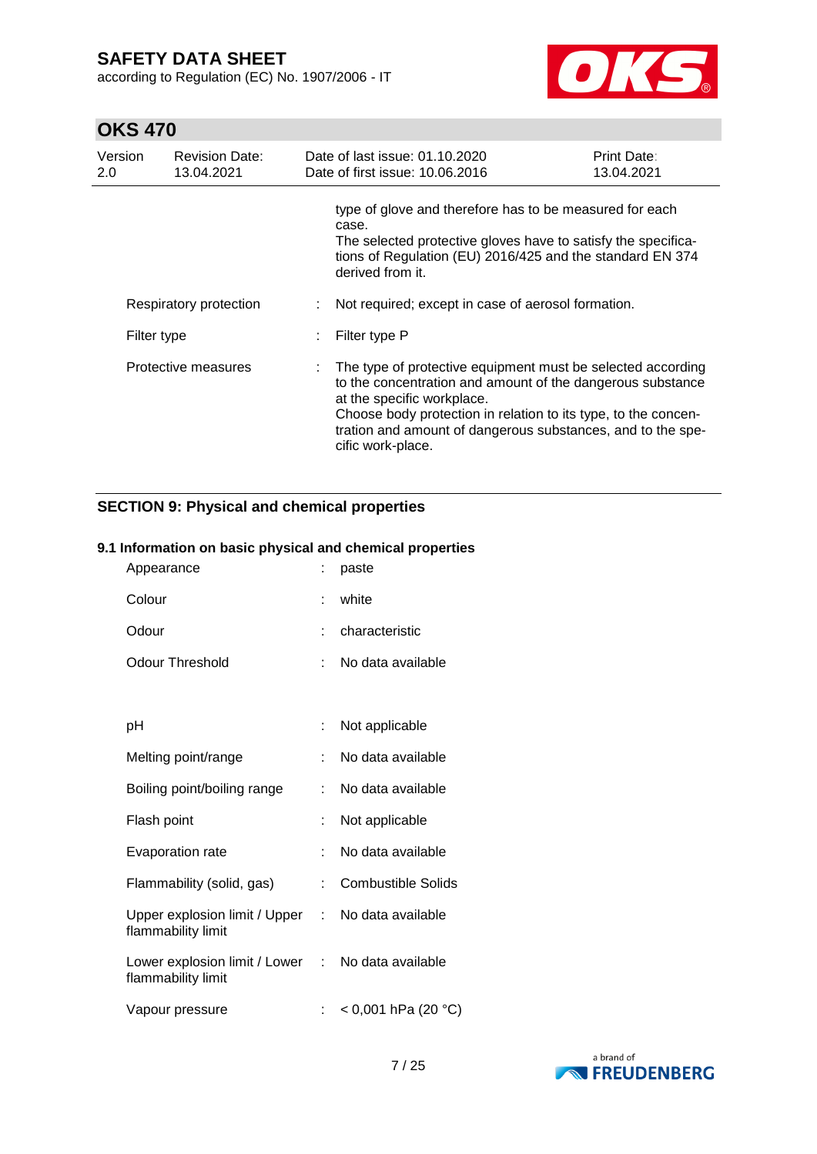according to Regulation (EC) No. 1907/2006 - IT



# **OKS 470**

| Version<br>2.0                                               | <b>Revision Date:</b><br>13.04.2021 | Date of last issue: 01.10.2020<br>Date of first issue: 10.06.2016                                                                                                                                                                                                                                             | Print Date:<br>13.04.2021 |
|--------------------------------------------------------------|-------------------------------------|---------------------------------------------------------------------------------------------------------------------------------------------------------------------------------------------------------------------------------------------------------------------------------------------------------------|---------------------------|
|                                                              |                                     | type of glove and therefore has to be measured for each<br>case.<br>The selected protective gloves have to satisfy the specifica-<br>tions of Regulation (EU) 2016/425 and the standard EN 374<br>derived from it.                                                                                            |                           |
| Respiratory protection<br>Filter type<br>Protective measures |                                     | Not required; except in case of aerosol formation.                                                                                                                                                                                                                                                            |                           |
|                                                              |                                     | Filter type P                                                                                                                                                                                                                                                                                                 |                           |
|                                                              |                                     | The type of protective equipment must be selected according<br>to the concentration and amount of the dangerous substance<br>at the specific workplace.<br>Choose body protection in relation to its type, to the concen-<br>tration and amount of dangerous substances, and to the spe-<br>cific work-place. |                           |

### **SECTION 9: Physical and chemical properties**

### **9.1 Information on basic physical and chemical properties**

| Appearance                                            |    | paste                     |
|-------------------------------------------------------|----|---------------------------|
| Colour                                                |    | white                     |
| Odour                                                 |    | characteristic            |
| Odour Threshold                                       | t  | No data available         |
|                                                       |    |                           |
| рH                                                    | t  | Not applicable            |
| Melting point/range                                   | t  | No data available         |
| Boiling point/boiling range                           | t. | No data available         |
| Flash point                                           |    | Not applicable            |
| Evaporation rate                                      |    | No data available         |
| Flammability (solid, gas)                             | ÷. | <b>Combustible Solids</b> |
| Upper explosion limit / Upper :<br>flammability limit |    | No data available         |
| Lower explosion limit / Lower :<br>flammability limit |    | No data available         |
| Vapour pressure                                       |    | $<$ 0,001 hPa (20 °C)     |

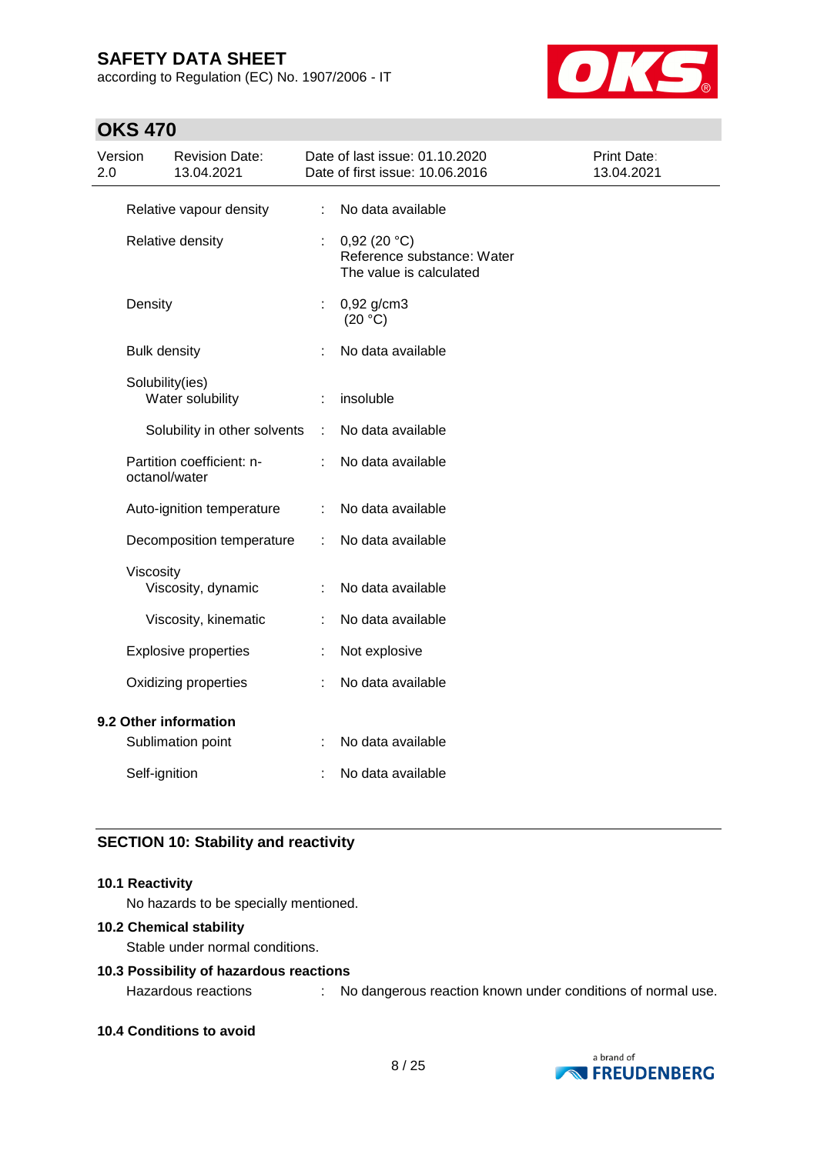according to Regulation (EC) No. 1907/2006 - IT



### **OKS 470**

| Version<br>2.0 |                     | <b>Revision Date:</b><br>13.04.2021 |    | Date of last issue: 01.10.2020<br>Date of first issue: 10.06.2016    | Print Date:<br>13.04.2021 |
|----------------|---------------------|-------------------------------------|----|----------------------------------------------------------------------|---------------------------|
|                |                     | Relative vapour density             | ÷. | No data available                                                    |                           |
|                |                     | Relative density                    |    | 0,92(20 °C)<br>Reference substance: Water<br>The value is calculated |                           |
|                | Density             |                                     | ÷. | $0,92$ g/cm3<br>(20 °C)                                              |                           |
|                | <b>Bulk density</b> |                                     |    | No data available                                                    |                           |
|                | Solubility(ies)     | Water solubility                    |    | insoluble                                                            |                           |
|                |                     | Solubility in other solvents        | ÷  | No data available                                                    |                           |
|                | octanol/water       | Partition coefficient: n-           |    | No data available                                                    |                           |
|                |                     | Auto-ignition temperature           | ÷  | No data available                                                    |                           |
|                |                     | Decomposition temperature           | ÷  | No data available                                                    |                           |
|                | Viscosity           | Viscosity, dynamic                  |    | No data available                                                    |                           |
|                |                     | Viscosity, kinematic                |    | No data available                                                    |                           |
|                |                     | <b>Explosive properties</b>         |    | Not explosive                                                        |                           |
|                |                     | Oxidizing properties                |    | No data available                                                    |                           |
|                |                     | 9.2 Other information               |    |                                                                      |                           |
|                |                     | Sublimation point                   |    | No data available                                                    |                           |
|                | Self-ignition       |                                     |    | No data available                                                    |                           |
|                |                     |                                     |    |                                                                      |                           |

### **SECTION 10: Stability and reactivity**

#### **10.1 Reactivity**

No hazards to be specially mentioned.

#### **10.2 Chemical stability**

Stable under normal conditions.

### **10.3 Possibility of hazardous reactions**

Hazardous reactions : No dangerous reaction known under conditions of normal use.

#### **10.4 Conditions to avoid**

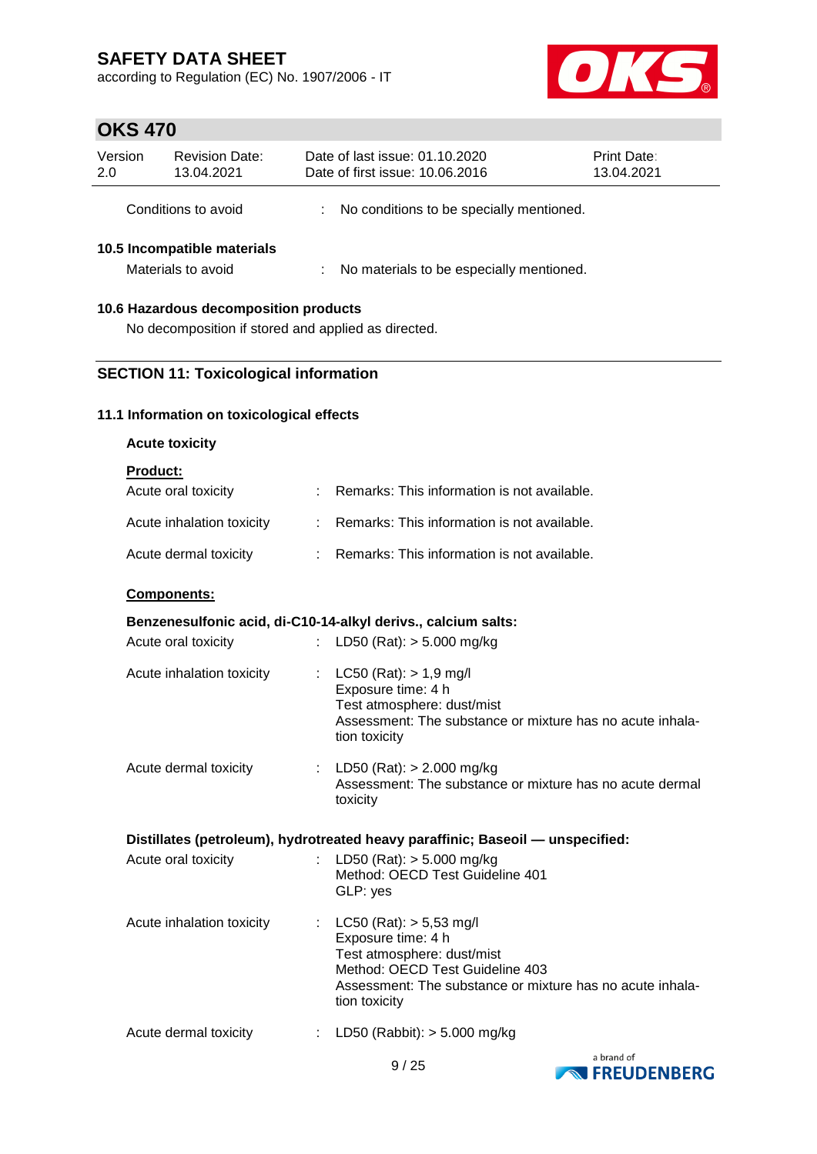according to Regulation (EC) No. 1907/2006 - IT



# **OKS 470**

| Version<br>2.0 | <b>Revision Date:</b><br>13.04.2021                                                          | Date of last issue: 01.10.2020<br>Date of first issue: 10.06.2016 | <b>Print Date:</b><br>13.04.2021 |  |  |  |  |
|----------------|----------------------------------------------------------------------------------------------|-------------------------------------------------------------------|----------------------------------|--|--|--|--|
|                | Conditions to avoid                                                                          | No conditions to be specially mentioned.                          |                                  |  |  |  |  |
|                | 10.5 Incompatible materials<br>Materials to avoid                                            | No materials to be especially mentioned.                          |                                  |  |  |  |  |
|                | 10.6 Hazardous decomposition products<br>No decomposition if stored and applied as directed. |                                                                   |                                  |  |  |  |  |

### **SECTION 11: Toxicological information**

### **11.1 Information on toxicological effects**

| <b>Acute toxicity</b>                                         |                                                                                                                                                                                                  |
|---------------------------------------------------------------|--------------------------------------------------------------------------------------------------------------------------------------------------------------------------------------------------|
| Product:                                                      |                                                                                                                                                                                                  |
| Acute oral toxicity                                           | : Remarks: This information is not available.                                                                                                                                                    |
| Acute inhalation toxicity                                     | : Remarks: This information is not available.                                                                                                                                                    |
| Acute dermal toxicity                                         | : Remarks: This information is not available.                                                                                                                                                    |
| Components:                                                   |                                                                                                                                                                                                  |
| Benzenesulfonic acid, di-C10-14-alkyl derivs., calcium salts: |                                                                                                                                                                                                  |
| Acute oral toxicity                                           | : LD50 (Rat): $>$ 5.000 mg/kg                                                                                                                                                                    |
| Acute inhalation toxicity                                     | : $LC50 (Rat): > 1.9 mg/l$<br>Exposure time: 4 h<br>Test atmosphere: dust/mist<br>Assessment: The substance or mixture has no acute inhala-<br>tion toxicity                                     |
| Acute dermal toxicity                                         | : LD50 (Rat): $> 2.000$ mg/kg<br>Assessment: The substance or mixture has no acute dermal<br>toxicity                                                                                            |
|                                                               | Distillates (petroleum), hydrotreated heavy paraffinic; Baseoil - unspecified:                                                                                                                   |
| Acute oral toxicity                                           | : LD50 (Rat): $> 5.000$ mg/kg<br>Method: OECD Test Guideline 401<br>GLP: yes                                                                                                                     |
| Acute inhalation toxicity                                     | : LC50 (Rat): $> 5,53$ mg/l<br>Exposure time: 4 h<br>Test atmosphere: dust/mist<br>Method: OECD Test Guideline 403<br>Assessment: The substance or mixture has no acute inhala-<br>tion toxicity |
| Acute dermal toxicity                                         | : LD50 (Rabbit): > 5.000 mg/kg                                                                                                                                                                   |

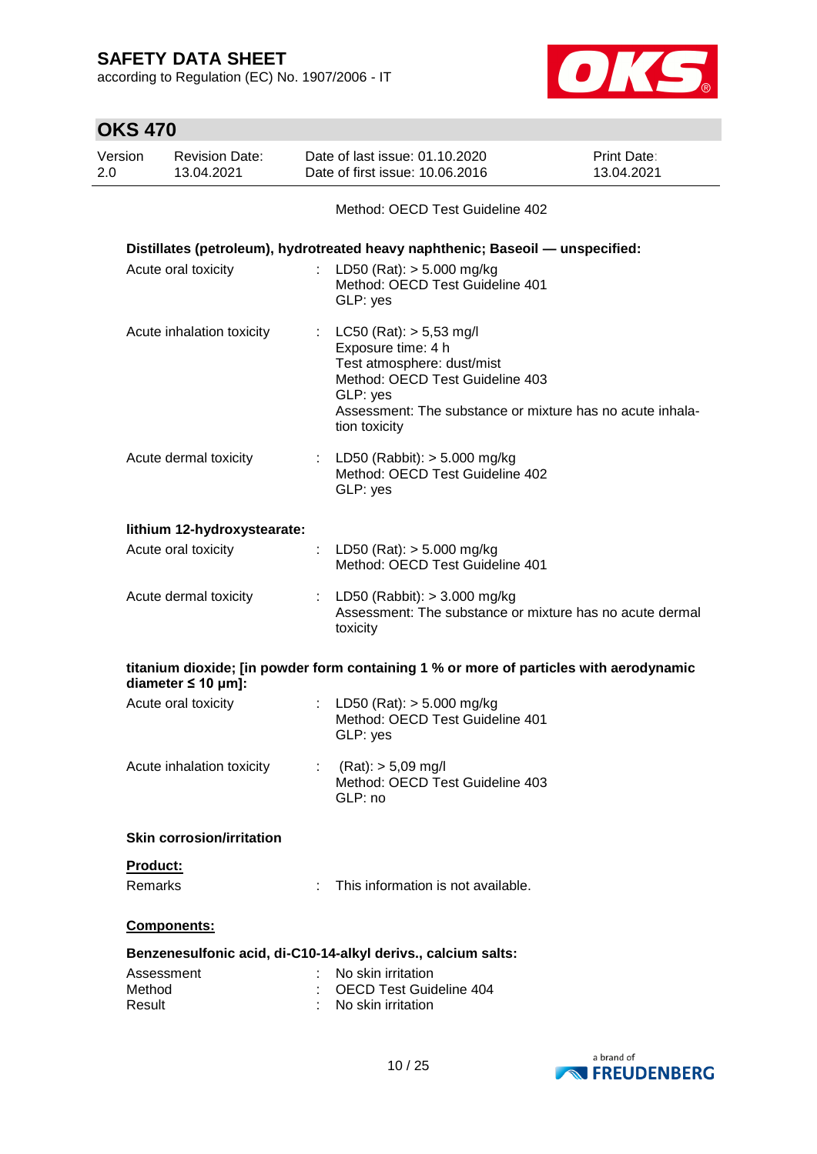according to Regulation (EC) No. 1907/2006 - IT



 $\overline{\phantom{0}}$ 

| <b>OKS 470</b>   |                                     |                                                                                                                                                                                                              |                                  |
|------------------|-------------------------------------|--------------------------------------------------------------------------------------------------------------------------------------------------------------------------------------------------------------|----------------------------------|
| Version<br>2.0   | <b>Revision Date:</b><br>13.04.2021 | Date of last issue: 01.10.2020<br>Date of first issue: 10.06.2016                                                                                                                                            | <b>Print Date:</b><br>13.04.2021 |
|                  |                                     | Method: OECD Test Guideline 402                                                                                                                                                                              |                                  |
|                  |                                     | Distillates (petroleum), hydrotreated heavy naphthenic; Baseoil - unspecified:                                                                                                                               |                                  |
|                  | Acute oral toxicity                 | LD50 (Rat): $> 5.000$ mg/kg<br>Method: OECD Test Guideline 401<br>GLP: yes                                                                                                                                   |                                  |
|                  | Acute inhalation toxicity           | : LC50 (Rat): $> 5,53$ mg/l<br>Exposure time: 4 h<br>Test atmosphere: dust/mist<br>Method: OECD Test Guideline 403<br>GLP: yes<br>Assessment: The substance or mixture has no acute inhala-<br>tion toxicity |                                  |
|                  | Acute dermal toxicity               | : LD50 (Rabbit): $> 5.000$ mg/kg<br>Method: OECD Test Guideline 402<br>GLP: yes                                                                                                                              |                                  |
|                  | lithium 12-hydroxystearate:         |                                                                                                                                                                                                              |                                  |
|                  | Acute oral toxicity                 | : LD50 (Rat): $>$ 5.000 mg/kg<br>Method: OECD Test Guideline 401                                                                                                                                             |                                  |
|                  | Acute dermal toxicity               | : LD50 (Rabbit): $> 3.000$ mg/kg<br>Assessment: The substance or mixture has no acute dermal<br>toxicity                                                                                                     |                                  |
|                  | diameter $\leq 10$ µm]:             | titanium dioxide; [in powder form containing 1 % or more of particles with aerodynamic                                                                                                                       |                                  |
|                  | Acute oral toxicity                 | : LD50 (Rat): $> 5.000$ mg/kg<br>Method: OECD Test Guideline 401<br>GLP: yes                                                                                                                                 |                                  |
|                  | Acute inhalation toxicity           | $(Rat):$ > 5,09 mg/l<br>Method: OECD Test Guideline 403<br>GLP: no                                                                                                                                           |                                  |
|                  | <b>Skin corrosion/irritation</b>    |                                                                                                                                                                                                              |                                  |
|                  | Product:                            |                                                                                                                                                                                                              |                                  |
|                  | <b>Remarks</b>                      | This information is not available.                                                                                                                                                                           |                                  |
|                  | Components:                         |                                                                                                                                                                                                              |                                  |
|                  |                                     | Benzenesulfonic acid, di-C10-14-alkyl derivs., calcium salts:                                                                                                                                                |                                  |
| Method<br>Result | Assessment                          | No skin irritation<br>OECD Test Guideline 404<br>No skin irritation                                                                                                                                          |                                  |

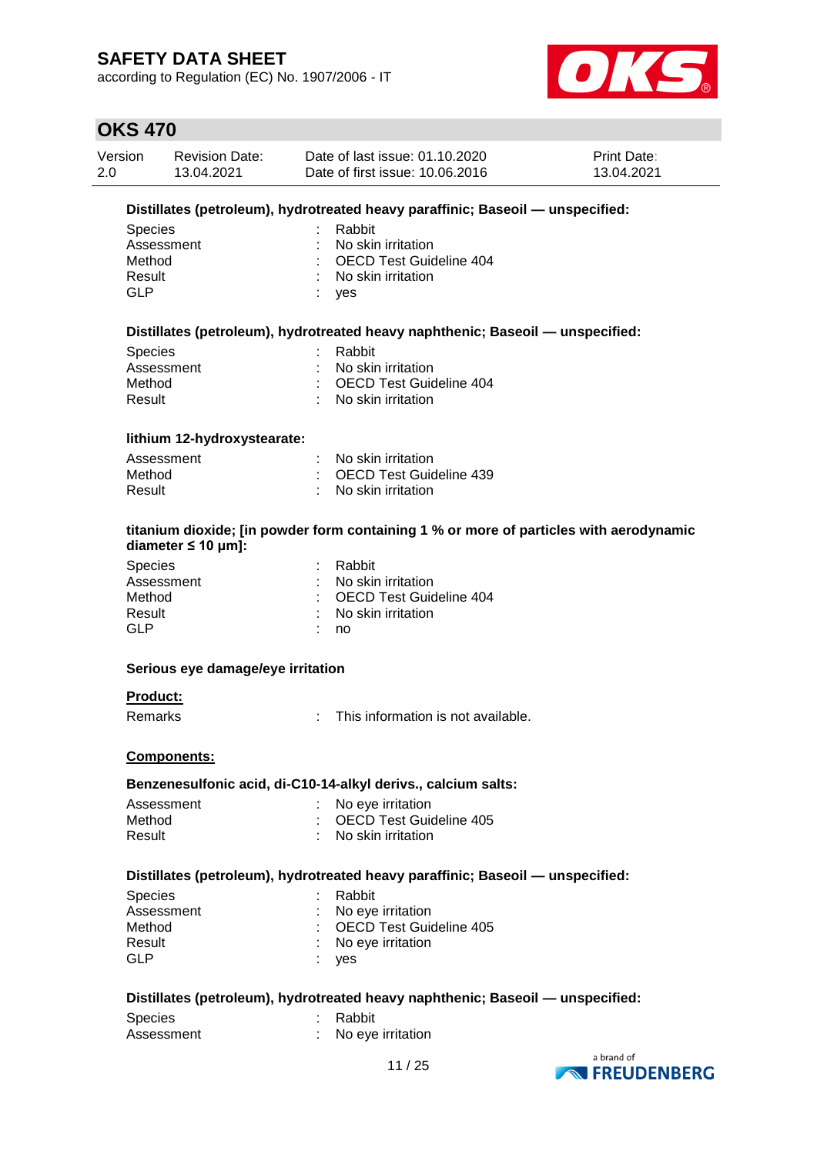according to Regulation (EC) No. 1907/2006 - IT



### **OKS 470**

| Version | <b>Revision Date:</b> | Date of last issue: 01.10.2020  | <b>Print Date:</b> |
|---------|-----------------------|---------------------------------|--------------------|
| 2.0     | 13.04.2021            | Date of first issue: 10.06.2016 | 13.04.2021         |

#### **Distillates (petroleum), hydrotreated heavy paraffinic; Baseoil — unspecified:**

| Species    | : Rabbit                  |
|------------|---------------------------|
| Assessment | : No skin irritation      |
| Method     | : OECD Test Guideline 404 |
| Result     | : No skin irritation      |
| GI P       | ves                       |

#### **Distillates (petroleum), hydrotreated heavy naphthenic; Baseoil — unspecified:**

| : Rabbit                  |
|---------------------------|
| : No skin irritation      |
| : OECD Test Guideline 404 |
| : No skin irritation      |
|                           |

#### **lithium 12-hydroxystearate:**

| Assessment | : No skin irritation      |
|------------|---------------------------|
| Method     | : OECD Test Guideline 439 |
| Result     | : No skin irritation      |

#### **titanium dioxide; [in powder form containing 1 % or more of particles with aerodynamic diameter ≤ 10 μm]:**

| <b>Species</b> | : Rabbit                        |
|----------------|---------------------------------|
| Assessment     | : No skin irritation            |
| Method         | : OECD Test Guideline 404       |
| Result         | $\therefore$ No skin irritation |
| GLP            | no                              |
|                |                                 |

#### **Serious eye damage/eye irritation**

#### **Product:**

Remarks : This information is not available.

#### **Components:**

#### **Benzenesulfonic acid, di-C10-14-alkyl derivs., calcium salts:**

| Assessment | : No eye irritation       |
|------------|---------------------------|
| Method     | : OECD Test Guideline 405 |
| Result     | : No skin irritation      |

#### **Distillates (petroleum), hydrotreated heavy paraffinic; Baseoil — unspecified:**

| <b>Species</b> | : Rabbit                  |
|----------------|---------------------------|
| Assessment     | : No eye irritation       |
| Method         | : OECD Test Guideline 405 |
| Result         | : No eye irritation       |
| GLP            | : yes                     |

#### **Distillates (petroleum), hydrotreated heavy naphthenic; Baseoil — unspecified:**

| <b>Species</b> | : Rabbit            |
|----------------|---------------------|
| Assessment     | : No eye irritation |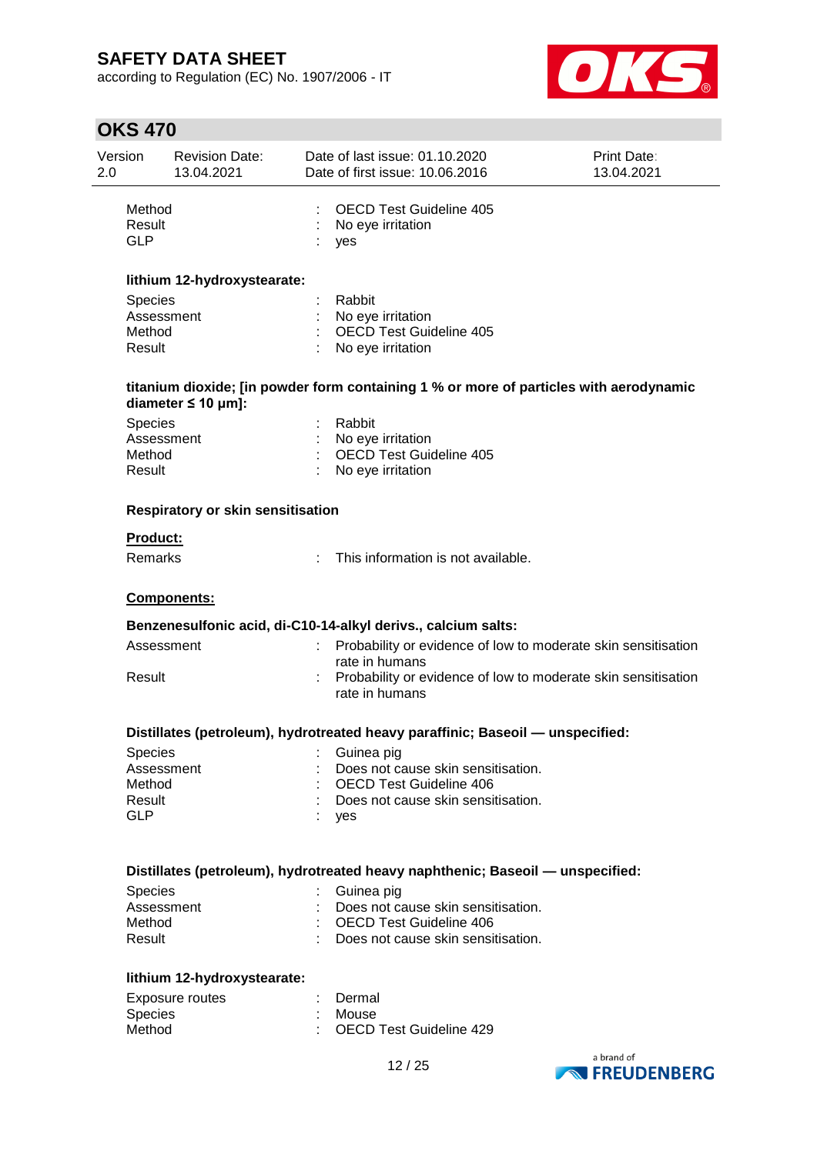according to Regulation (EC) No. 1907/2006 - IT



# **OKS 470**

| Version<br>2.0 |                                                  | <b>Revision Date:</b><br>13.04.2021      | Date of last issue: 01.10.2020<br>Date of first issue: 10.06.2016                      | <b>Print Date:</b><br>13.04.2021 |
|----------------|--------------------------------------------------|------------------------------------------|----------------------------------------------------------------------------------------|----------------------------------|
|                | Method<br>Result<br><b>GLP</b>                   |                                          | <b>OECD Test Guideline 405</b><br>No eye irritation<br>yes                             |                                  |
|                |                                                  | lithium 12-hydroxystearate:              |                                                                                        |                                  |
|                | Species<br>Assessment<br>Method<br>Result        |                                          | Rabbit<br>No eye irritation<br><b>OECD Test Guideline 405</b><br>No eye irritation     |                                  |
|                |                                                  | diameter $\leq 10$ µm]:                  | titanium dioxide; [in powder form containing 1 % or more of particles with aerodynamic |                                  |
|                | <b>Species</b><br>Assessment<br>Method<br>Result |                                          | Rabbit<br>No eye irritation<br><b>OECD Test Guideline 405</b><br>No eye irritation     |                                  |
|                |                                                  | <b>Respiratory or skin sensitisation</b> |                                                                                        |                                  |
|                | <b>Product:</b><br>Remarks                       |                                          | This information is not available.                                                     |                                  |
|                |                                                  | Components:                              |                                                                                        |                                  |
|                |                                                  |                                          | Benzenesulfonic acid, di-C10-14-alkyl derivs., calcium salts:                          |                                  |
|                | Assessment                                       |                                          | Probability or evidence of low to moderate skin sensitisation<br>rate in humans        |                                  |
|                | Result                                           |                                          | Probability or evidence of low to moderate skin sensitisation<br>rate in humans        |                                  |
|                |                                                  |                                          | Distillates (petroleum), hydrotreated heavy paraffinic; Baseoil - unspecified:         |                                  |
|                | Species                                          | <b>Example 2</b> Suinea pig              |                                                                                        |                                  |
|                | Assessment<br>Method                             |                                          | Does not cause skin sensitisation.<br><b>OECD Test Guideline 406</b>                   |                                  |
|                | Result                                           |                                          | Does not cause skin sensitisation.                                                     |                                  |
|                | <b>GLP</b>                                       |                                          | yes                                                                                    |                                  |
|                |                                                  |                                          | Distillates (petroleum), hydrotreated heavy naphthenic; Baseoil - unspecified:         |                                  |
|                | <b>Species</b>                                   |                                          | Guinea pig                                                                             |                                  |
|                | Assessment                                       |                                          | Does not cause skin sensitisation.                                                     |                                  |
|                | Method<br>Result                                 |                                          | <b>OECD Test Guideline 406</b><br>Does not cause skin sensitisation.                   |                                  |
|                |                                                  | lithium 12-hydroxystearate:              |                                                                                        |                                  |
|                |                                                  | <b>Exposure routes</b>                   | Dermal                                                                                 |                                  |
|                | Species                                          |                                          | Mouse                                                                                  |                                  |
|                | Method                                           |                                          | OECD Test Guideline 429                                                                |                                  |

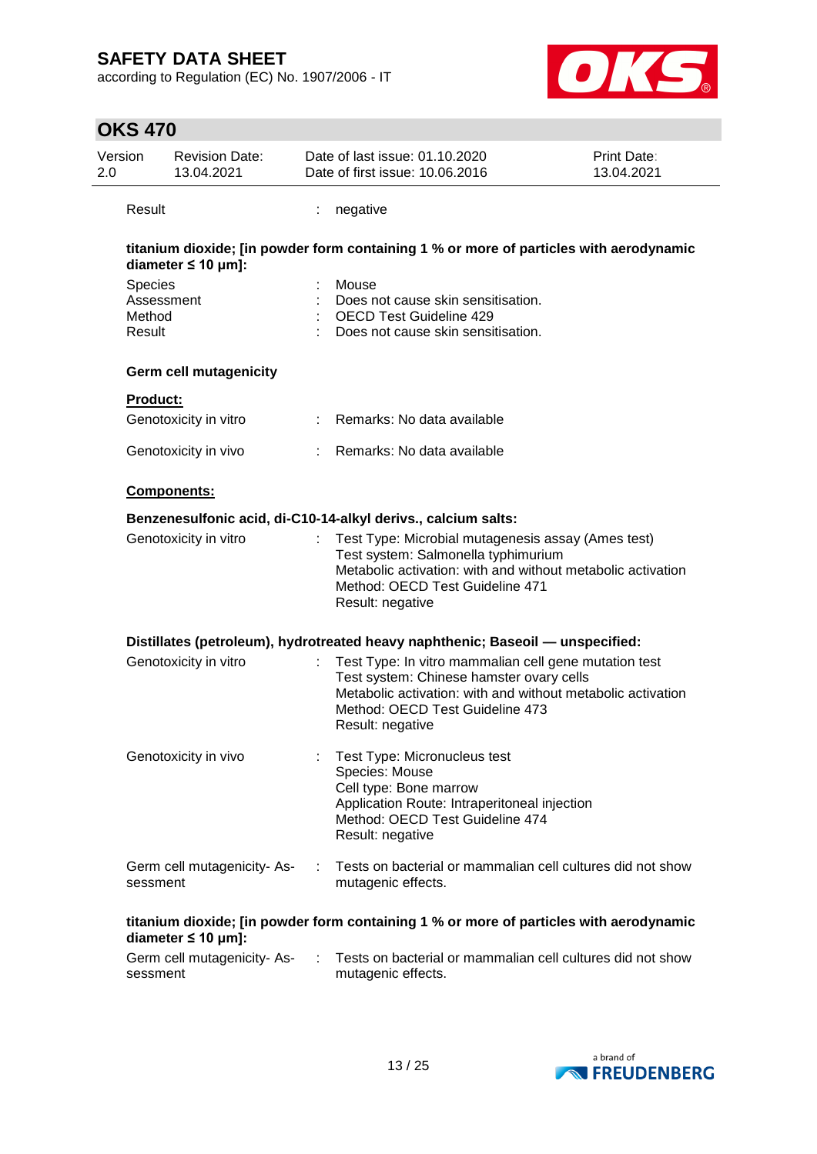according to Regulation (EC) No. 1907/2006 - IT



### **OKS 470** Version 2.0 Revision Date: 13.04.2021 Date of last issue: 01.10.2020 Date of first issue: 10.06.2016 Print Date: 13.04.2021 Result : negative **titanium dioxide; [in powder form containing 1 % or more of particles with aerodynamic diameter ≤ 10 μm]:** Species : Mouse Assessment : Does not cause skin sensitisation. Method : OECD Test Guideline 429 Result : Does not cause skin sensitisation. **Germ cell mutagenicity Product:** Genotoxicity in vitro : Remarks: No data available Genotoxicity in vivo : Remarks: No data available **Components: Benzenesulfonic acid, di-C10-14-alkyl derivs., calcium salts:** Genotoxicity in vitro : Test Type: Microbial mutagenesis assay (Ames test) Test system: Salmonella typhimurium Metabolic activation: with and without metabolic activation Method: OECD Test Guideline 471 Result: negative **Distillates (petroleum), hydrotreated heavy naphthenic; Baseoil — unspecified:** Genotoxicity in vitro : Test Type: In vitro mammalian cell gene mutation test Test system: Chinese hamster ovary cells Metabolic activation: with and without metabolic activation Method: OECD Test Guideline 473 Result: negative Genotoxicity in vivo : Test Type: Micronucleus test Species: Mouse Cell type: Bone marrow Application Route: Intraperitoneal injection Method: OECD Test Guideline 474 Result: negative Germ cell mutagenicity- Assessment : Tests on bacterial or mammalian cell cultures did not show mutagenic effects. **titanium dioxide; [in powder form containing 1 % or more of particles with aerodynamic diameter ≤ 10 μm]:** Germ cell mutagenicity- Assessment : Tests on bacterial or mammalian cell cultures did not show mutagenic effects.

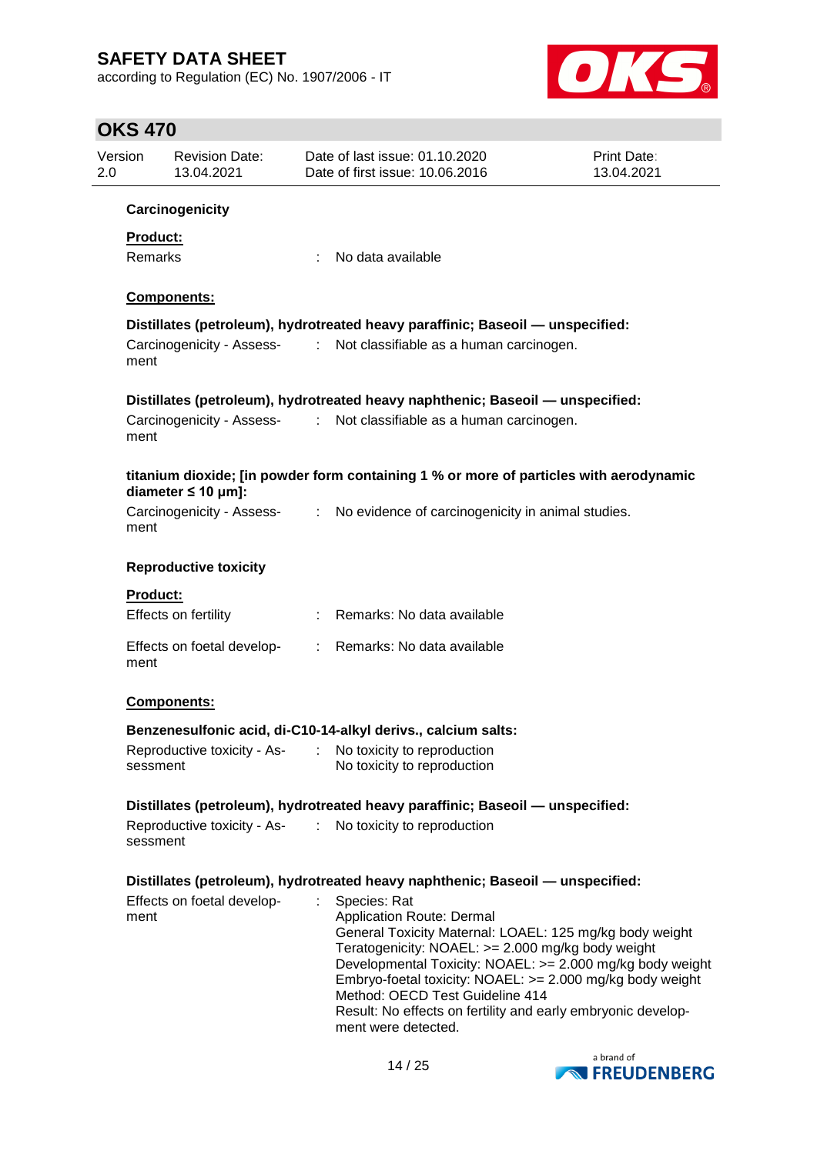according to Regulation (EC) No. 1907/2006 - IT



### **OKS 470**

| 2.0 | Version             | <b>Revision Date:</b><br>13.04.2021 |                             | Date of last issue: 01.10.2020<br>Date of first issue: 10.06.2016                                                                                                                                                                                                                                                                                                                                                    | <b>Print Date:</b><br>13.04.2021 |
|-----|---------------------|-------------------------------------|-----------------------------|----------------------------------------------------------------------------------------------------------------------------------------------------------------------------------------------------------------------------------------------------------------------------------------------------------------------------------------------------------------------------------------------------------------------|----------------------------------|
|     |                     | Carcinogenicity                     |                             |                                                                                                                                                                                                                                                                                                                                                                                                                      |                                  |
|     | Product:<br>Remarks |                                     | ÷                           | No data available                                                                                                                                                                                                                                                                                                                                                                                                    |                                  |
|     |                     | Components:                         |                             |                                                                                                                                                                                                                                                                                                                                                                                                                      |                                  |
|     |                     |                                     |                             | Distillates (petroleum), hydrotreated heavy paraffinic; Baseoil - unspecified:                                                                                                                                                                                                                                                                                                                                       |                                  |
|     | ment                | Carcinogenicity - Assess-           | $\mathcal{L}^{\mathcal{L}}$ | Not classifiable as a human carcinogen.                                                                                                                                                                                                                                                                                                                                                                              |                                  |
|     |                     |                                     |                             | Distillates (petroleum), hydrotreated heavy naphthenic; Baseoil - unspecified:                                                                                                                                                                                                                                                                                                                                       |                                  |
|     | ment                |                                     |                             | Carcinogenicity - Assess- : Not classifiable as a human carcinogen.                                                                                                                                                                                                                                                                                                                                                  |                                  |
|     |                     | diameter $\leq 10$ µm]:             |                             | titanium dioxide; [in powder form containing 1 % or more of particles with aerodynamic                                                                                                                                                                                                                                                                                                                               |                                  |
|     | ment                | Carcinogenicity - Assess-<br>:      |                             | No evidence of carcinogenicity in animal studies.                                                                                                                                                                                                                                                                                                                                                                    |                                  |
|     |                     | <b>Reproductive toxicity</b>        |                             |                                                                                                                                                                                                                                                                                                                                                                                                                      |                                  |
|     | Product:            | Effects on fertility                |                             | Remarks: No data available                                                                                                                                                                                                                                                                                                                                                                                           |                                  |
|     | ment                | Effects on foetal develop-          |                             | : Remarks: No data available                                                                                                                                                                                                                                                                                                                                                                                         |                                  |
|     |                     | Components:                         |                             |                                                                                                                                                                                                                                                                                                                                                                                                                      |                                  |
|     |                     |                                     |                             | Benzenesulfonic acid, di-C10-14-alkyl derivs., calcium salts:                                                                                                                                                                                                                                                                                                                                                        |                                  |
|     | sessment            |                                     |                             | Reproductive toxicity - As- : No toxicity to reproduction<br>No toxicity to reproduction                                                                                                                                                                                                                                                                                                                             |                                  |
|     |                     |                                     |                             | Distillates (petroleum), hydrotreated heavy paraffinic; Baseoil - unspecified:                                                                                                                                                                                                                                                                                                                                       |                                  |
|     | sessment            | Reproductive toxicity - As-         | $\mathbb{R}^n$              | No toxicity to reproduction                                                                                                                                                                                                                                                                                                                                                                                          |                                  |
|     |                     |                                     |                             | Distillates (petroleum), hydrotreated heavy naphthenic; Baseoil - unspecified:                                                                                                                                                                                                                                                                                                                                       |                                  |
|     | ment                | Effects on foetal develop-          | ÷.                          | Species: Rat<br><b>Application Route: Dermal</b><br>General Toxicity Maternal: LOAEL: 125 mg/kg body weight<br>Teratogenicity: NOAEL: >= 2.000 mg/kg body weight<br>Developmental Toxicity: NOAEL: >= 2.000 mg/kg body weight<br>Embryo-foetal toxicity: NOAEL: >= 2.000 mg/kg body weight<br>Method: OECD Test Guideline 414<br>Result: No effects on fertility and early embryonic develop-<br>ment were detected. |                                  |

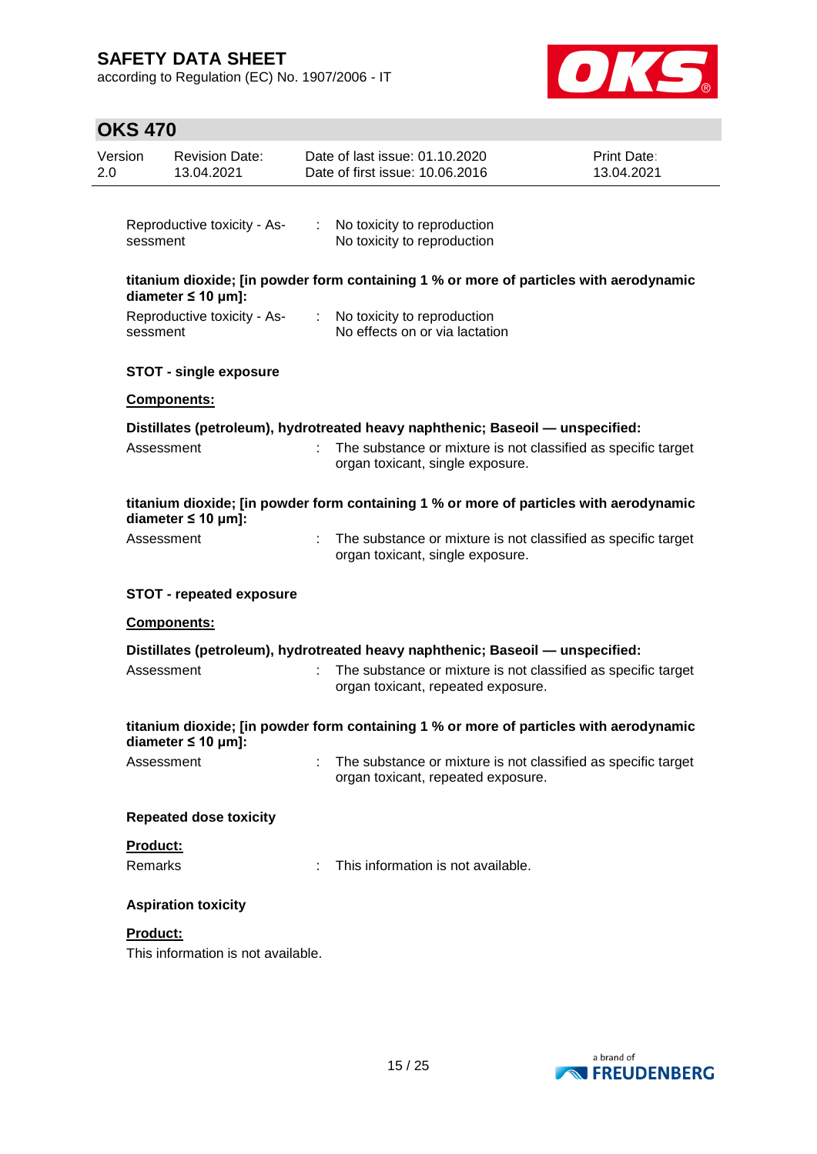according to Regulation (EC) No. 1907/2006 - IT



# **OKS 470**

| Version<br>2.0 | <b>Revision Date:</b><br>13.04.2021                                            | Date of last issue: 01.10.2020<br>Date of first issue: 10.06.2016 |                                    | <b>Print Date:</b><br>13.04.2021                                                       |
|----------------|--------------------------------------------------------------------------------|-------------------------------------------------------------------|------------------------------------|----------------------------------------------------------------------------------------|
|                | Reproductive toxicity - As-<br>sessment                                        | : No toxicity to reproduction<br>No toxicity to reproduction      |                                    |                                                                                        |
|                | diameter $\leq 10$ µm]:                                                        |                                                                   |                                    | titanium dioxide; [in powder form containing 1 % or more of particles with aerodynamic |
|                | Reproductive toxicity - As-<br>sessment                                        | : No toxicity to reproduction                                     | No effects on or via lactation     |                                                                                        |
|                | <b>STOT - single exposure</b>                                                  |                                                                   |                                    |                                                                                        |
|                | Components:                                                                    |                                                                   |                                    |                                                                                        |
|                | Distillates (petroleum), hydrotreated heavy naphthenic; Baseoil - unspecified: |                                                                   |                                    |                                                                                        |
|                | Assessment                                                                     |                                                                   | organ toxicant, single exposure.   | : The substance or mixture is not classified as specific target                        |
|                | diameter $\leq 10$ µm]:                                                        |                                                                   |                                    | titanium dioxide; [in powder form containing 1 % or more of particles with aerodynamic |
|                | Assessment                                                                     |                                                                   | organ toxicant, single exposure.   | : The substance or mixture is not classified as specific target                        |
|                | <b>STOT - repeated exposure</b>                                                |                                                                   |                                    |                                                                                        |
|                | <b>Components:</b>                                                             |                                                                   |                                    |                                                                                        |
|                | Distillates (petroleum), hydrotreated heavy naphthenic; Baseoil — unspecified: |                                                                   |                                    |                                                                                        |
|                | Assessment                                                                     |                                                                   | organ toxicant, repeated exposure. | The substance or mixture is not classified as specific target                          |
|                | diameter $\leq 10$ µm]:                                                        |                                                                   |                                    | titanium dioxide; [in powder form containing 1 % or more of particles with aerodynamic |
|                | Assessment                                                                     |                                                                   | organ toxicant, repeated exposure. | The substance or mixture is not classified as specific target                          |
|                | <b>Repeated dose toxicity</b>                                                  |                                                                   |                                    |                                                                                        |
|                | Product:<br>Remarks                                                            |                                                                   | This information is not available. |                                                                                        |
|                | <b>Aspiration toxicity</b>                                                     |                                                                   |                                    |                                                                                        |
|                | Product:<br>This information is not available.                                 |                                                                   |                                    |                                                                                        |
|                |                                                                                |                                                                   |                                    |                                                                                        |

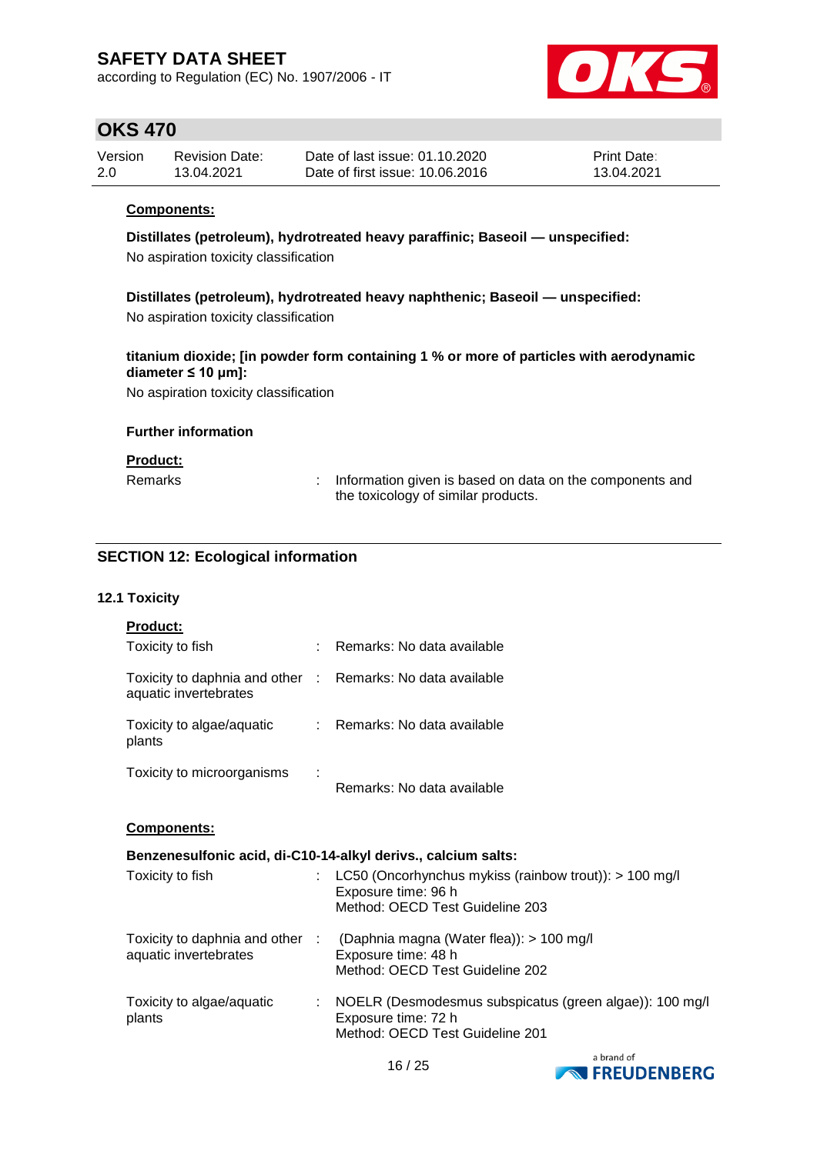according to Regulation (EC) No. 1907/2006 - IT



### **OKS 470**

| Version | <b>Revision Date:</b> | Date of last issue: 01.10.2020  | Print Date: |
|---------|-----------------------|---------------------------------|-------------|
| 2.0     | 13.04.2021            | Date of first issue: 10.06.2016 | 13.04.2021  |

#### **Components:**

**Distillates (petroleum), hydrotreated heavy paraffinic; Baseoil — unspecified:** No aspiration toxicity classification

**Distillates (petroleum), hydrotreated heavy naphthenic; Baseoil — unspecified:** No aspiration toxicity classification

#### **titanium dioxide; [in powder form containing 1 % or more of particles with aerodynamic diameter ≤ 10 μm]:**

No aspiration toxicity classification

#### **Further information**

#### **Product:**

Remarks : Information given is based on data on the components and the toxicology of similar products.

### **SECTION 12: Ecological information**

#### **12.1 Toxicity**

| <b>Product:</b>                                                                     |                                                                                                                                    |
|-------------------------------------------------------------------------------------|------------------------------------------------------------------------------------------------------------------------------------|
| Toxicity to fish                                                                    | Remarks: No data available                                                                                                         |
| Toxicity to daphnia and other : Remarks: No data available<br>aquatic invertebrates |                                                                                                                                    |
| Toxicity to algae/aquatic<br>plants                                                 | : Remarks: No data available                                                                                                       |
| Toxicity to microorganisms                                                          | Remarks: No data available                                                                                                         |
| Components:                                                                         |                                                                                                                                    |
|                                                                                     | Benzenesulfonic acid, di-C10-14-alkyl derivs., calcium salts:                                                                      |
| Toxicity to fish                                                                    | LC50 (Oncorhynchus mykiss (rainbow trout)): $> 100$ mg/l<br>Exposure time: 96 h<br>Method: OECD Test Guideline 203                 |
| aquatic invertebrates                                                               | Toxicity to daphnia and other : (Daphnia magna (Water flea)): > 100 mg/l<br>Exposure time: 48 h<br>Method: OECD Test Guideline 202 |
| Toxicity to algae/aquatic<br>plants                                                 | NOELR (Desmodesmus subspicatus (green algae)): 100 mg/l<br>Exposure time: 72 h<br>Method: OECD Test Guideline 201                  |



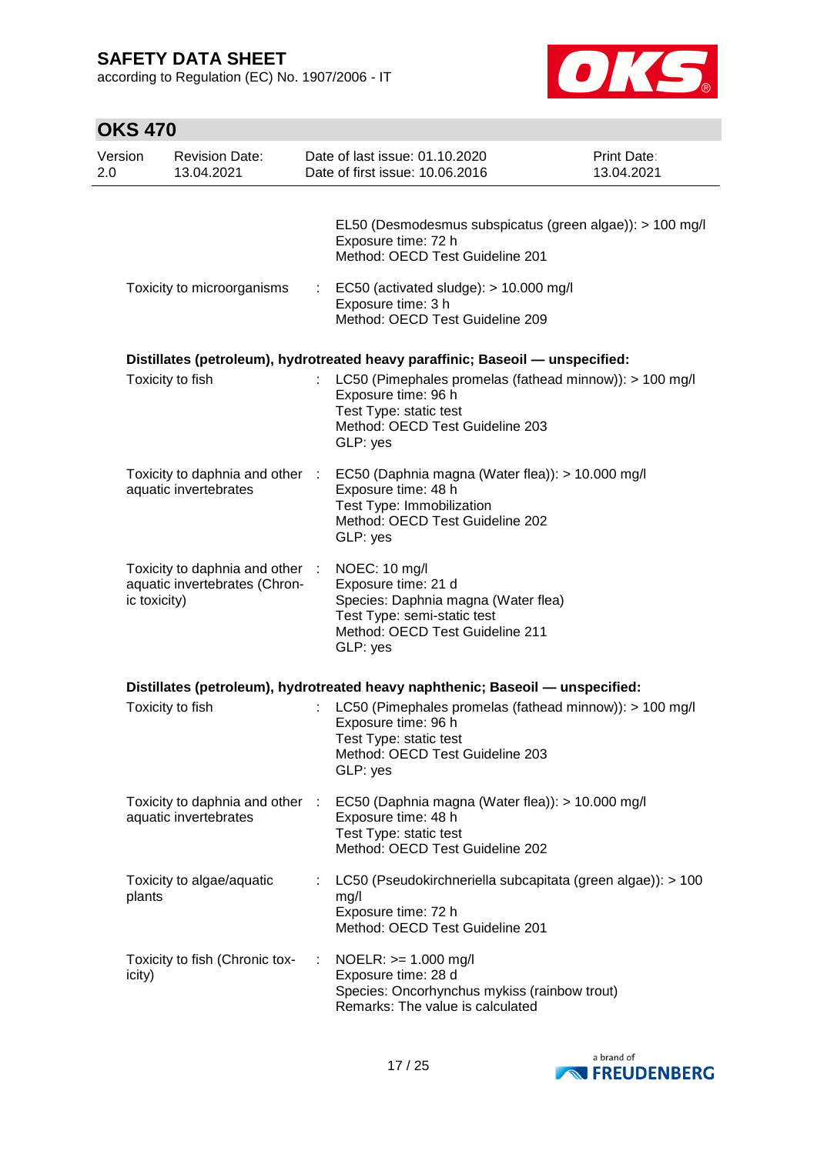according to Regulation (EC) No. 1907/2006 - IT



| <b>OKS 470</b> |              |                                                                  |   |                                                                                                                                                           |                           |
|----------------|--------------|------------------------------------------------------------------|---|-----------------------------------------------------------------------------------------------------------------------------------------------------------|---------------------------|
| Version<br>2.0 |              | <b>Revision Date:</b><br>13.04.2021                              |   | Date of last issue: 01.10.2020<br>Date of first issue: 10.06.2016                                                                                         | Print Date:<br>13.04.2021 |
|                |              |                                                                  |   | EL50 (Desmodesmus subspicatus (green algae)): > 100 mg/l<br>Exposure time: 72 h<br>Method: OECD Test Guideline 201                                        |                           |
|                |              | Toxicity to microorganisms                                       |   | EC50 (activated sludge): > 10.000 mg/l<br>Exposure time: 3 h<br>Method: OECD Test Guideline 209                                                           |                           |
|                |              |                                                                  |   | Distillates (petroleum), hydrotreated heavy paraffinic; Baseoil - unspecified:                                                                            |                           |
|                |              | Toxicity to fish                                                 |   | : LC50 (Pimephales promelas (fathead minnow)): > 100 mg/l<br>Exposure time: 96 h<br>Test Type: static test<br>Method: OECD Test Guideline 203<br>GLP: yes |                           |
|                |              | Toxicity to daphnia and other :<br>aquatic invertebrates         |   | EC50 (Daphnia magna (Water flea)): > 10.000 mg/l<br>Exposure time: 48 h<br>Test Type: Immobilization<br>Method: OECD Test Guideline 202<br>GLP: yes       |                           |
|                | ic toxicity) | Toxicity to daphnia and other :<br>aquatic invertebrates (Chron- |   | NOEC: 10 mg/l<br>Exposure time: 21 d<br>Species: Daphnia magna (Water flea)<br>Test Type: semi-static test<br>Method: OECD Test Guideline 211<br>GLP: yes |                           |
|                |              |                                                                  |   | Distillates (petroleum), hydrotreated heavy naphthenic; Baseoil - unspecified:                                                                            |                           |
|                |              | Toxicity to fish                                                 |   | LC50 (Pimephales promelas (fathead minnow)): > 100 mg/l<br>Exposure time: 96 h<br>Test Type: static test<br>Method: OECD Test Guideline 203<br>GLP: yes   |                           |
|                |              | Toxicity to daphnia and other :<br>aquatic invertebrates         |   | EC50 (Daphnia magna (Water flea)): > 10.000 mg/l<br>Exposure time: 48 h<br>Test Type: static test<br>Method: OECD Test Guideline 202                      |                           |
|                | plants       | Toxicity to algae/aquatic                                        |   | LC50 (Pseudokirchneriella subcapitata (green algae)): > 100<br>mg/l<br>Exposure time: 72 h<br>Method: OECD Test Guideline 201                             |                           |
| icity)         |              | Toxicity to fish (Chronic tox-                                   | ÷ | NOELR: >= 1.000 mg/l<br>Exposure time: 28 d<br>Species: Oncorhynchus mykiss (rainbow trout)<br>Remarks: The value is calculated                           |                           |

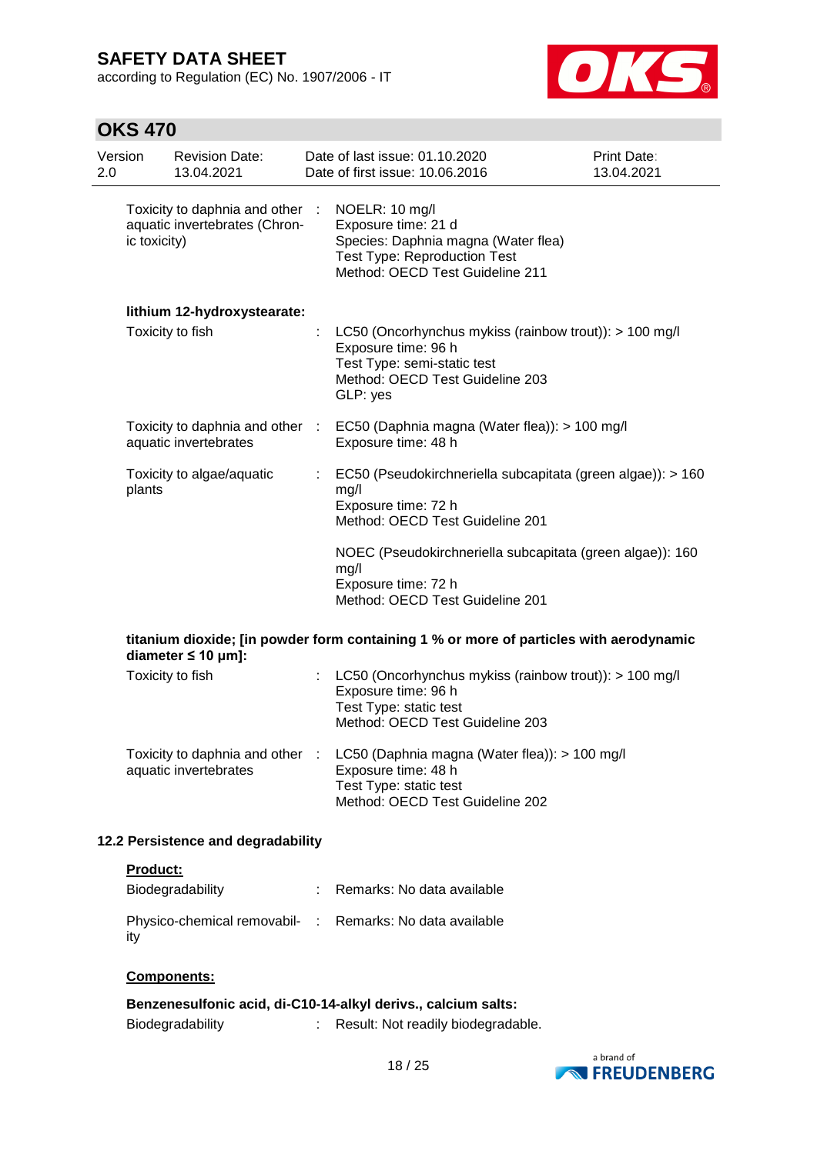according to Regulation (EC) No. 1907/2006 - IT



# **OKS 470**

| Version<br>2.0 |                  | <b>Revision Date:</b><br>13.04.2021                              | Date of last issue: 01.10.2020<br>Date of first issue: 10.06.2016                                                                                                 | <b>Print Date:</b><br>13.04.2021 |
|----------------|------------------|------------------------------------------------------------------|-------------------------------------------------------------------------------------------------------------------------------------------------------------------|----------------------------------|
|                | ic toxicity)     | Toxicity to daphnia and other :<br>aquatic invertebrates (Chron- | NOELR: 10 mg/l<br>Exposure time: 21 d<br>Species: Daphnia magna (Water flea)<br><b>Test Type: Reproduction Test</b><br>Method: OECD Test Guideline 211            |                                  |
|                |                  | lithium 12-hydroxystearate:                                      |                                                                                                                                                                   |                                  |
|                |                  | Toxicity to fish                                                 | : LC50 (Oncorhynchus mykiss (rainbow trout)): $> 100$ mg/l<br>Exposure time: 96 h<br>Test Type: semi-static test<br>Method: OECD Test Guideline 203<br>GLP: yes   |                                  |
|                |                  | aquatic invertebrates                                            | Toxicity to daphnia and other : EC50 (Daphnia magna (Water flea)): > 100 mg/l<br>Exposure time: 48 h                                                              |                                  |
|                | plants           | Toxicity to algae/aquatic                                        | EC50 (Pseudokirchneriella subcapitata (green algae)): > 160<br>mg/l<br>Exposure time: 72 h<br>Method: OECD Test Guideline 201                                     |                                  |
|                |                  |                                                                  | NOEC (Pseudokirchneriella subcapitata (green algae)): 160<br>mg/l<br>Exposure time: 72 h<br>Method: OECD Test Guideline 201                                       |                                  |
|                |                  | diameter $\leq 10$ µm]:                                          | titanium dioxide; [in powder form containing 1 % or more of particles with aerodynamic                                                                            |                                  |
|                | Toxicity to fish |                                                                  | LC50 (Oncorhynchus mykiss (rainbow trout)): > 100 mg/l<br>Exposure time: 96 h<br>Test Type: static test<br>Method: OECD Test Guideline 203                        |                                  |
|                |                  | aquatic invertebrates                                            | Toxicity to daphnia and other : LC50 (Daphnia magna (Water flea)): > 100 mg/l<br>Exposure time: 48 h<br>Test Type: static test<br>Method: OECD Test Guideline 202 |                                  |
|                |                  | 12.2 Persistence and degradability                               |                                                                                                                                                                   |                                  |

#### **Product:**

| Biodegradability                                                | : Remarks: No data available |
|-----------------------------------------------------------------|------------------------------|
| Physico-chemical removabil- : Remarks: No data available<br>ity |                              |

#### **Components:**

|                         | Benzenesulfonic acid, di-C10-14-alkyl derivs., calcium salts: |
|-------------------------|---------------------------------------------------------------|
| <b>Biodegradability</b> | Result: Not readily biodegradable.                            |

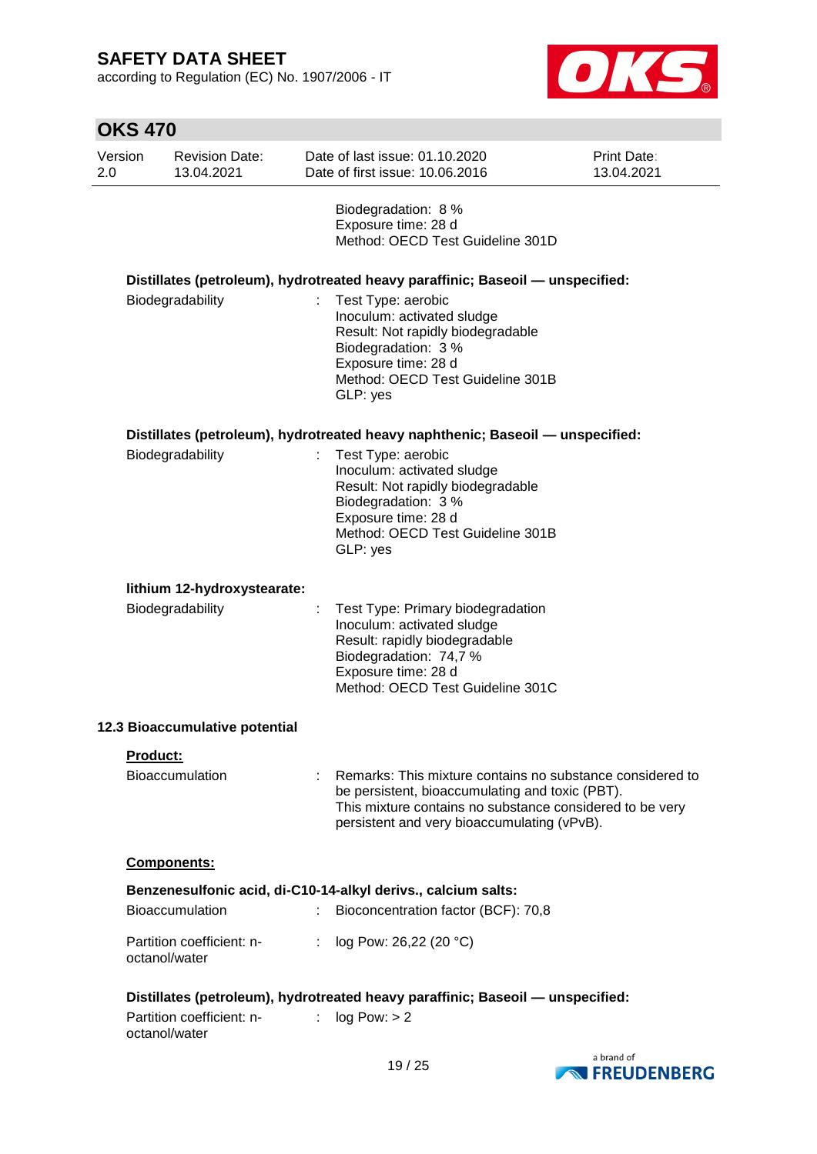according to Regulation (EC) No. 1907/2006 - IT



|                | <b>OKS 470</b>  |                                     |                |                                                                                                                                                                                                                         |                                  |
|----------------|-----------------|-------------------------------------|----------------|-------------------------------------------------------------------------------------------------------------------------------------------------------------------------------------------------------------------------|----------------------------------|
| Version<br>2.0 |                 | <b>Revision Date:</b><br>13.04.2021 |                | Date of last issue: 01.10.2020<br>Date of first issue: 10.06.2016                                                                                                                                                       | <b>Print Date:</b><br>13.04.2021 |
|                |                 |                                     |                | Biodegradation: 8 %<br>Exposure time: 28 d<br>Method: OECD Test Guideline 301D                                                                                                                                          |                                  |
|                |                 |                                     |                | Distillates (petroleum), hydrotreated heavy paraffinic; Baseoil - unspecified:                                                                                                                                          |                                  |
|                |                 | Biodegradability                    |                | Test Type: aerobic<br>Inoculum: activated sludge<br>Result: Not rapidly biodegradable<br>Biodegradation: 3 %<br>Exposure time: 28 d<br>Method: OECD Test Guideline 301B<br>GLP: yes                                     |                                  |
|                |                 |                                     |                | Distillates (petroleum), hydrotreated heavy naphthenic; Baseoil - unspecified:                                                                                                                                          |                                  |
|                |                 | Biodegradability                    |                | Test Type: aerobic<br>Inoculum: activated sludge<br>Result: Not rapidly biodegradable<br>Biodegradation: 3 %<br>Exposure time: 28 d<br>Method: OECD Test Guideline 301B<br>GLP: yes                                     |                                  |
|                |                 | lithium 12-hydroxystearate:         |                |                                                                                                                                                                                                                         |                                  |
|                |                 | Biodegradability                    |                | Test Type: Primary biodegradation<br>Inoculum: activated sludge<br>Result: rapidly biodegradable<br>Biodegradation: 74,7 %<br>Exposure time: 28 d<br>Method: OECD Test Guideline 301C                                   |                                  |
|                |                 | 12.3 Bioaccumulative potential      |                |                                                                                                                                                                                                                         |                                  |
|                | <b>Product:</b> |                                     |                |                                                                                                                                                                                                                         |                                  |
|                |                 | <b>Bioaccumulation</b>              |                | Remarks: This mixture contains no substance considered to<br>be persistent, bioaccumulating and toxic (PBT).<br>This mixture contains no substance considered to be very<br>persistent and very bioaccumulating (vPvB). |                                  |
|                |                 | Components:                         |                |                                                                                                                                                                                                                         |                                  |
|                |                 |                                     |                | Benzenesulfonic acid, di-C10-14-alkyl derivs., calcium salts:                                                                                                                                                           |                                  |
|                |                 | <b>Bioaccumulation</b>              | ÷.             | Bioconcentration factor (BCF): 70,8                                                                                                                                                                                     |                                  |
|                | octanol/water   | Partition coefficient: n-           | $\mathbb{R}^n$ | log Pow: 26,22 (20 °C)                                                                                                                                                                                                  |                                  |
|                | octanol/water   | Partition coefficient: n-           | ÷              | Distillates (petroleum), hydrotreated heavy paraffinic; Baseoil - unspecified:<br>log Pow: > 2                                                                                                                          |                                  |

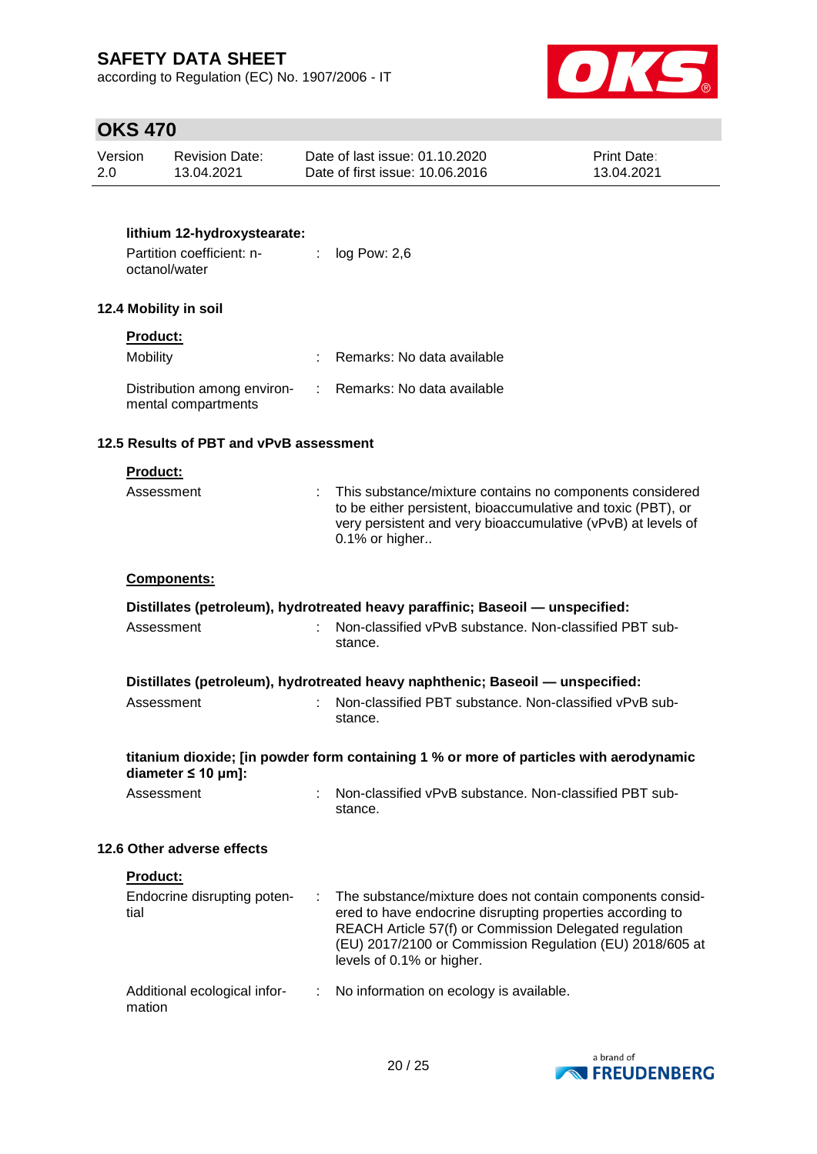according to Regulation (EC) No. 1907/2006 - IT



# **OKS 470**

| Version | <b>Revision Date:</b> | Date of last issue: 01.10.2020  | <b>Print Date:</b> |
|---------|-----------------------|---------------------------------|--------------------|
| 2.0     | 13.04.2021            | Date of first issue: 10.06.2016 | 13.04.2021         |

### **lithium 12-hydroxystearate:**

| Partition coefficient: n- | log Pow: 2,6 |
|---------------------------|--------------|
| octanol/water             |              |

### **12.4 Mobility in soil**

### **Product:**

| <b>Mobility</b>                                                                 | Remarks: No data available |
|---------------------------------------------------------------------------------|----------------------------|
| Distribution among environ- : Remarks: No data available<br>mental compartments |                            |

#### **12.5 Results of PBT and vPvB assessment**

#### **Product:**

| Assessment | : This substance/mixture contains no components considered<br>to be either persistent, bioaccumulative and toxic (PBT), or<br>very persistent and very bioaccumulative (vPvB) at levels of<br>$0.1\%$ or higher |
|------------|-----------------------------------------------------------------------------------------------------------------------------------------------------------------------------------------------------------------|
|            |                                                                                                                                                                                                                 |

#### **Components:**

| Distillates (petroleum), hydrotreated heavy paraffinic; Baseoil — unspecified:                                    |   |                                                                                                                                                                                                                                                                             |  |  |  |
|-------------------------------------------------------------------------------------------------------------------|---|-----------------------------------------------------------------------------------------------------------------------------------------------------------------------------------------------------------------------------------------------------------------------------|--|--|--|
| Assessment                                                                                                        |   | Non-classified vPvB substance. Non-classified PBT sub-<br>stance.                                                                                                                                                                                                           |  |  |  |
| Distillates (petroleum), hydrotreated heavy naphthenic; Baseoil - unspecified:                                    |   |                                                                                                                                                                                                                                                                             |  |  |  |
| Assessment                                                                                                        |   | : Non-classified PBT substance. Non-classified vPvB sub-<br>stance.                                                                                                                                                                                                         |  |  |  |
| titanium dioxide; [in powder form containing 1 % or more of particles with aerodynamic<br>diameter $\leq 10$ µm]: |   |                                                                                                                                                                                                                                                                             |  |  |  |
| Assessment                                                                                                        |   | : Non-classified vPvB substance. Non-classified PBT sub-<br>stance.                                                                                                                                                                                                         |  |  |  |
| 12.6 Other adverse effects                                                                                        |   |                                                                                                                                                                                                                                                                             |  |  |  |
| <b>Product:</b>                                                                                                   |   |                                                                                                                                                                                                                                                                             |  |  |  |
| Endocrine disrupting poten-<br>tial                                                                               |   | : The substance/mixture does not contain components consid-<br>ered to have endocrine disrupting properties according to<br>REACH Article 57(f) or Commission Delegated regulation<br>(EU) 2017/2100 or Commission Regulation (EU) 2018/605 at<br>levels of 0.1% or higher. |  |  |  |
| Additional ecological infor-<br>mation                                                                            | ÷ | No information on ecology is available.                                                                                                                                                                                                                                     |  |  |  |

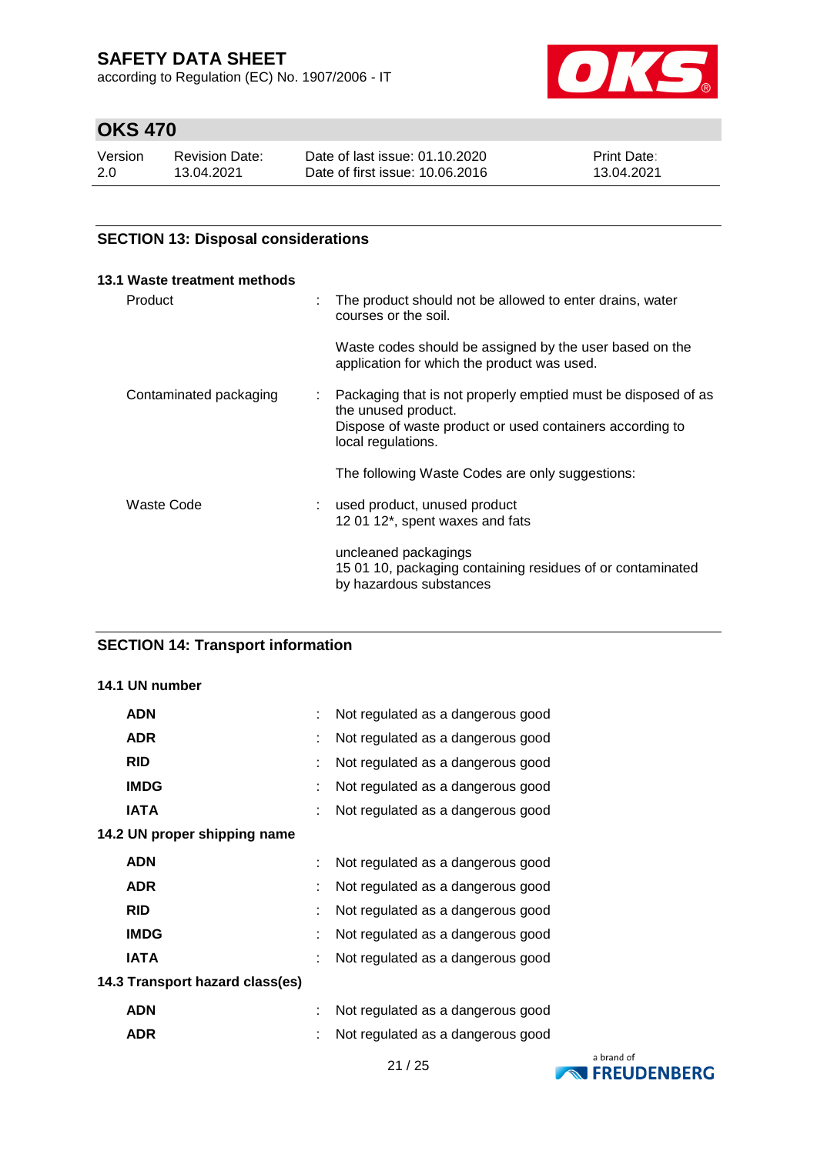according to Regulation (EC) No. 1907/2006 - IT



# **OKS 470**

| Version | <b>Revision Date:</b> | Date of last issue: 01.10.2020  | <b>Print Date:</b> |
|---------|-----------------------|---------------------------------|--------------------|
| 2.0     | 13.04.2021            | Date of first issue: 10.06.2016 | 13.04.2021         |

### **SECTION 13: Disposal considerations**

| 13.1 Waste treatment methods |   |                                                                                                                                                                        |
|------------------------------|---|------------------------------------------------------------------------------------------------------------------------------------------------------------------------|
| Product                      | ÷ | The product should not be allowed to enter drains, water<br>courses or the soil.                                                                                       |
|                              |   | Waste codes should be assigned by the user based on the<br>application for which the product was used.                                                                 |
| Contaminated packaging       | t | Packaging that is not properly emptied must be disposed of as<br>the unused product.<br>Dispose of waste product or used containers according to<br>local regulations. |
|                              |   | The following Waste Codes are only suggestions:                                                                                                                        |
| Waste Code                   |   | used product, unused product<br>12 01 12*, spent waxes and fats                                                                                                        |
|                              |   | uncleaned packagings<br>15 01 10, packaging containing residues of or contaminated<br>by hazardous substances                                                          |

### **SECTION 14: Transport information**

### **14.1 UN number**

| <b>ADN</b>                      | Not regulated as a dangerous good |  |
|---------------------------------|-----------------------------------|--|
| <b>ADR</b>                      | Not regulated as a dangerous good |  |
| <b>RID</b>                      | Not regulated as a dangerous good |  |
| <b>IMDG</b>                     | Not regulated as a dangerous good |  |
| <b>IATA</b>                     | Not regulated as a dangerous good |  |
| 14.2 UN proper shipping name    |                                   |  |
| <b>ADN</b>                      | Not regulated as a dangerous good |  |
| <b>ADR</b>                      | Not regulated as a dangerous good |  |
| <b>RID</b>                      | Not regulated as a dangerous good |  |
| <b>IMDG</b>                     | Not regulated as a dangerous good |  |
| <b>IATA</b>                     | Not regulated as a dangerous good |  |
| 14.3 Transport hazard class(es) |                                   |  |
| <b>ADN</b>                      | Not regulated as a dangerous good |  |
| <b>ADR</b>                      | Not regulated as a dangerous good |  |

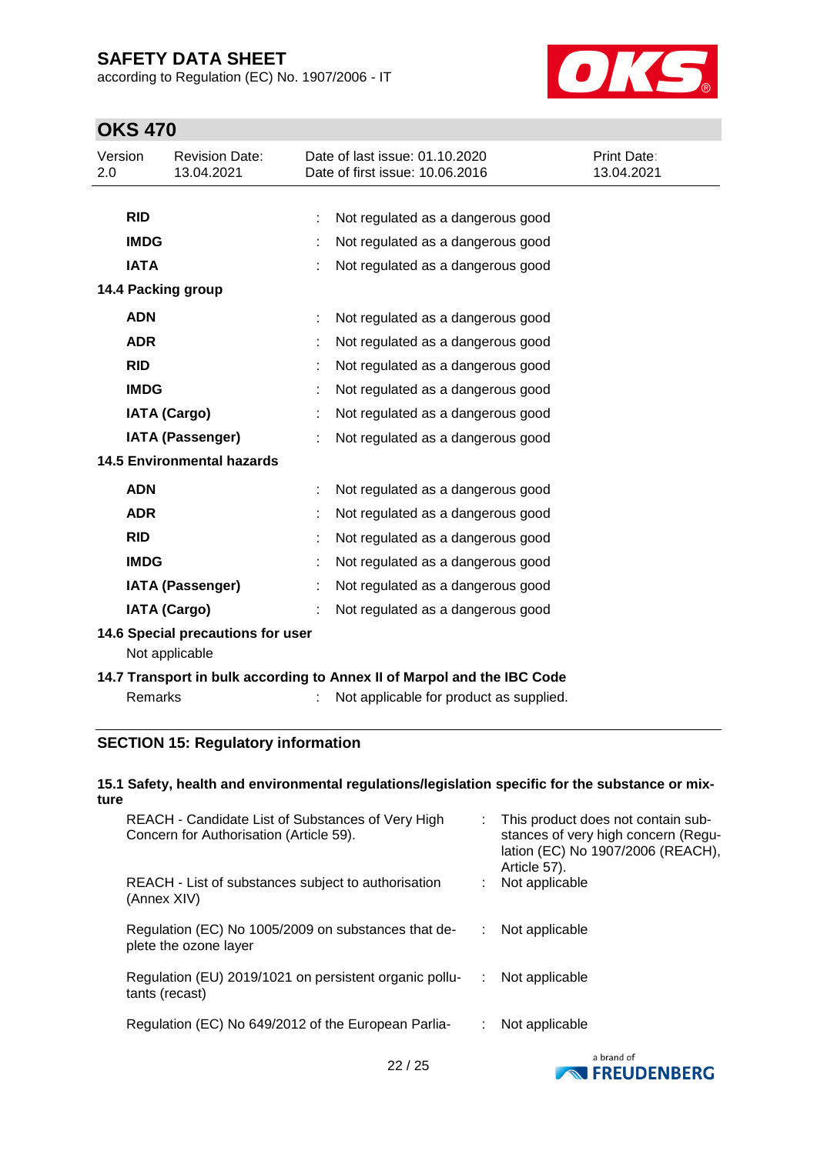according to Regulation (EC) No. 1907/2006 - IT



# **OKS 470**

| Version<br>2.0                    |                                                                         | <b>Revision Date:</b><br>13.04.2021      |  | Date of last issue: 01.10.2020<br>Date of first issue: 10.06.2016 | Print Date:<br>13.04.2021 |  |  |
|-----------------------------------|-------------------------------------------------------------------------|------------------------------------------|--|-------------------------------------------------------------------|---------------------------|--|--|
|                                   |                                                                         |                                          |  |                                                                   |                           |  |  |
|                                   | <b>RID</b>                                                              |                                          |  | Not regulated as a dangerous good                                 |                           |  |  |
|                                   | <b>IMDG</b>                                                             |                                          |  | Not regulated as a dangerous good                                 |                           |  |  |
|                                   | <b>IATA</b>                                                             |                                          |  | Not regulated as a dangerous good                                 |                           |  |  |
|                                   |                                                                         | 14.4 Packing group                       |  |                                                                   |                           |  |  |
|                                   | <b>ADN</b>                                                              |                                          |  | Not regulated as a dangerous good                                 |                           |  |  |
|                                   | <b>ADR</b>                                                              |                                          |  | Not regulated as a dangerous good                                 |                           |  |  |
|                                   | <b>RID</b>                                                              |                                          |  | Not regulated as a dangerous good                                 |                           |  |  |
|                                   | <b>IMDG</b>                                                             |                                          |  | Not regulated as a dangerous good                                 |                           |  |  |
|                                   |                                                                         | <b>IATA (Cargo)</b>                      |  | Not regulated as a dangerous good                                 |                           |  |  |
|                                   |                                                                         | <b>IATA (Passenger)</b>                  |  | Not regulated as a dangerous good                                 |                           |  |  |
| <b>14.5 Environmental hazards</b> |                                                                         |                                          |  |                                                                   |                           |  |  |
|                                   | <b>ADN</b>                                                              |                                          |  | Not regulated as a dangerous good                                 |                           |  |  |
|                                   | <b>ADR</b>                                                              |                                          |  | Not regulated as a dangerous good                                 |                           |  |  |
|                                   | <b>RID</b>                                                              |                                          |  | Not regulated as a dangerous good                                 |                           |  |  |
|                                   | <b>IMDG</b>                                                             |                                          |  | Not regulated as a dangerous good                                 |                           |  |  |
|                                   |                                                                         | <b>IATA (Passenger)</b>                  |  | Not regulated as a dangerous good                                 |                           |  |  |
|                                   |                                                                         | <b>IATA (Cargo)</b>                      |  | Not regulated as a dangerous good                                 |                           |  |  |
|                                   | 14.6 Special precautions for user<br>Not applicable                     |                                          |  |                                                                   |                           |  |  |
|                                   | 14.7 Transport in bulk according to Annex II of Marpol and the IBC Code |                                          |  |                                                                   |                           |  |  |
|                                   | <b>Remarks</b>                                                          |                                          |  | Not applicable for product as supplied.                           |                           |  |  |
|                                   |                                                                         | <b>Contract Contract Contract</b><br>. . |  |                                                                   |                           |  |  |

### **SECTION 15: Regulatory information**

#### **15.1 Safety, health and environmental regulations/legislation specific for the substance or mixture**

| REACH - Candidate List of Substances of Very High<br>Concern for Authorisation (Article 59). |    | : This product does not contain sub-<br>stances of very high concern (Regu-<br>lation (EC) No 1907/2006 (REACH),<br>Article 57). |
|----------------------------------------------------------------------------------------------|----|----------------------------------------------------------------------------------------------------------------------------------|
| REACH - List of substances subject to authorisation<br>(Annex XIV)                           |    | Not applicable                                                                                                                   |
| Regulation (EC) No 1005/2009 on substances that de-<br>plete the ozone layer                 |    | Not applicable                                                                                                                   |
| Regulation (EU) 2019/1021 on persistent organic pollu-<br>tants (recast)                     | ÷. | Not applicable                                                                                                                   |
| Regulation (EC) No 649/2012 of the European Parlia-                                          |    | Not applicable                                                                                                                   |

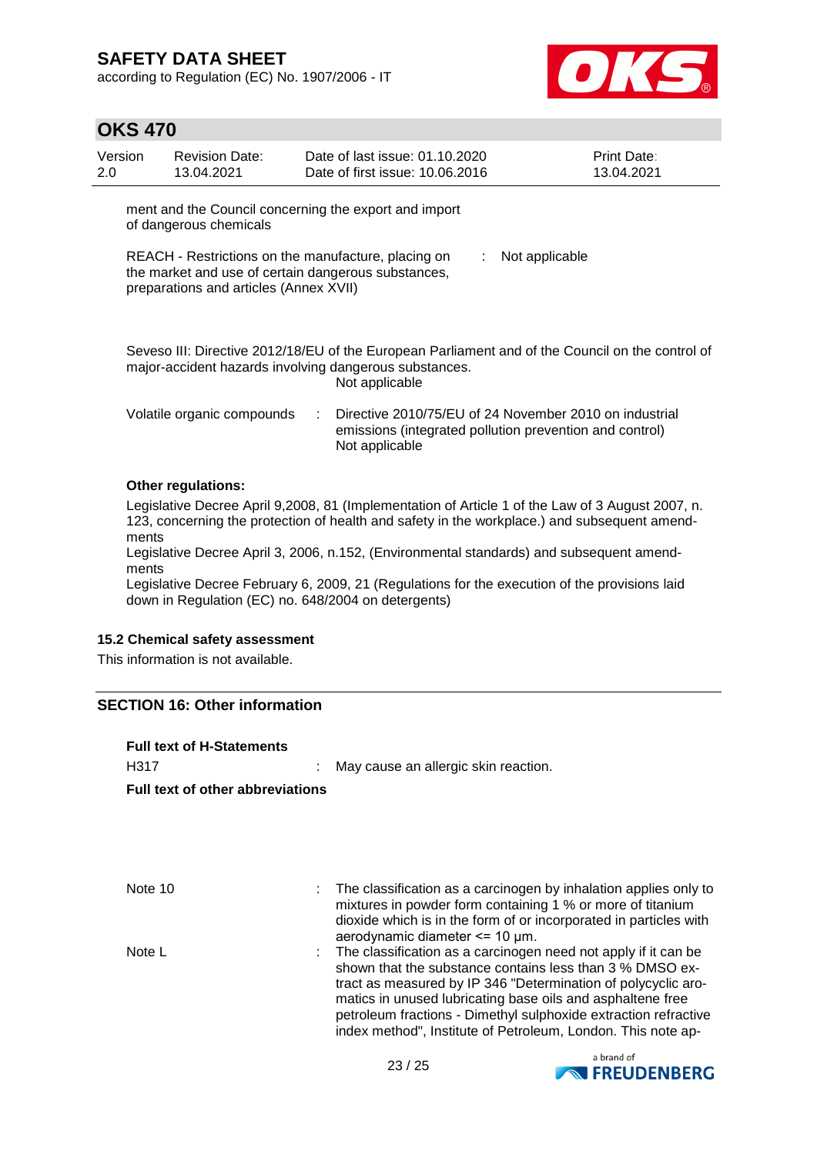according to Regulation (EC) No. 1907/2006 - IT



### **OKS 470**

| Version<br>2.0                                                                                                                                                               | <b>Revision Date:</b><br>13.04.2021 |  | Date of last issue: 01.10.2020<br>Date of first issue: 10.06.2016                                                 |  | Print Date:<br>13.04.2021 |  |  |
|------------------------------------------------------------------------------------------------------------------------------------------------------------------------------|-------------------------------------|--|-------------------------------------------------------------------------------------------------------------------|--|---------------------------|--|--|
| ment and the Council concerning the export and import<br>of dangerous chemicals                                                                                              |                                     |  |                                                                                                                   |  |                           |  |  |
| REACH - Restrictions on the manufacture, placing on<br>Not applicable<br>÷.<br>the market and use of certain dangerous substances,<br>preparations and articles (Annex XVII) |                                     |  |                                                                                                                   |  |                           |  |  |
| Seveso III: Directive 2012/18/EU of the European Parliament and of the Council on the control of<br>major-accident hazards involving dangerous substances.<br>Not applicable |                                     |  |                                                                                                                   |  |                           |  |  |
|                                                                                                                                                                              | Volatile organic compounds          |  | Directive 2010/75/EU of 24 November 2010 on industrial<br>emissions (integrated pollution prevention and control) |  |                           |  |  |

#### **Other regulations:**

Legislative Decree April 9,2008, 81 (Implementation of Article 1 of the Law of 3 August 2007, n. 123, concerning the protection of health and safety in the workplace.) and subsequent amendments

Legislative Decree April 3, 2006, n.152, (Environmental standards) and subsequent amendments

Not applicable

Legislative Decree February 6, 2009, 21 (Regulations for the execution of the provisions laid down in Regulation (EC) no. 648/2004 on detergents)

#### **15.2 Chemical safety assessment**

This information is not available.

#### **SECTION 16: Other information**

| <b>Full text of H-Statements</b>        |                                                                                                                                                                                                                                                                                                                                                                                              |  |  |  |  |
|-----------------------------------------|----------------------------------------------------------------------------------------------------------------------------------------------------------------------------------------------------------------------------------------------------------------------------------------------------------------------------------------------------------------------------------------------|--|--|--|--|
| H317                                    | May cause an allergic skin reaction.                                                                                                                                                                                                                                                                                                                                                         |  |  |  |  |
| <b>Full text of other abbreviations</b> |                                                                                                                                                                                                                                                                                                                                                                                              |  |  |  |  |
|                                         |                                                                                                                                                                                                                                                                                                                                                                                              |  |  |  |  |
|                                         |                                                                                                                                                                                                                                                                                                                                                                                              |  |  |  |  |
| Note 10                                 | The classification as a carcinogen by inhalation applies only to<br>mixtures in powder form containing 1 % or more of titanium<br>dioxide which is in the form of or incorporated in particles with<br>aerodynamic diameter <= 10 µm.                                                                                                                                                        |  |  |  |  |
| Note L                                  | The classification as a carcinogen need not apply if it can be<br>shown that the substance contains less than 3 % DMSO ex-<br>tract as measured by IP 346 "Determination of polycyclic aro-<br>matics in unused lubricating base oils and asphaltene free<br>petroleum fractions - Dimethyl sulphoxide extraction refractive<br>index method", Institute of Petroleum, London. This note ap- |  |  |  |  |

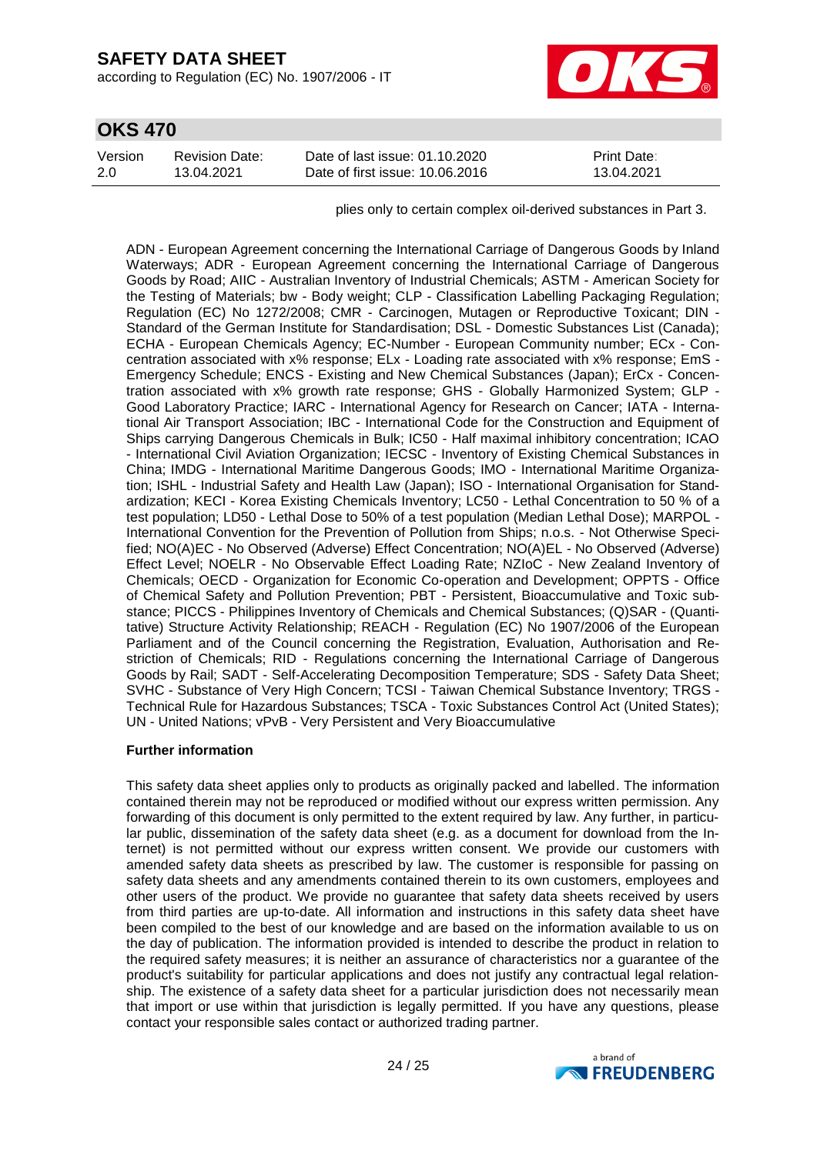according to Regulation (EC) No. 1907/2006 - IT



| <b>OKS 470</b> |
|----------------|
|----------------|

| Version | Revision Date: | Date of last issue: 01.10.2020  | <b>Print Date:</b> |
|---------|----------------|---------------------------------|--------------------|
| 2.0     | 13.04.2021     | Date of first issue: 10.06.2016 | 13.04.2021         |

plies only to certain complex oil-derived substances in Part 3.

ADN - European Agreement concerning the International Carriage of Dangerous Goods by Inland Waterways; ADR - European Agreement concerning the International Carriage of Dangerous Goods by Road; AIIC - Australian Inventory of Industrial Chemicals; ASTM - American Society for the Testing of Materials; bw - Body weight; CLP - Classification Labelling Packaging Regulation; Regulation (EC) No 1272/2008; CMR - Carcinogen, Mutagen or Reproductive Toxicant; DIN - Standard of the German Institute for Standardisation; DSL - Domestic Substances List (Canada); ECHA - European Chemicals Agency; EC-Number - European Community number; ECx - Concentration associated with x% response; ELx - Loading rate associated with x% response; EmS - Emergency Schedule; ENCS - Existing and New Chemical Substances (Japan); ErCx - Concentration associated with x% growth rate response; GHS - Globally Harmonized System; GLP - Good Laboratory Practice; IARC - International Agency for Research on Cancer; IATA - International Air Transport Association; IBC - International Code for the Construction and Equipment of Ships carrying Dangerous Chemicals in Bulk; IC50 - Half maximal inhibitory concentration; ICAO - International Civil Aviation Organization; IECSC - Inventory of Existing Chemical Substances in China; IMDG - International Maritime Dangerous Goods; IMO - International Maritime Organization; ISHL - Industrial Safety and Health Law (Japan); ISO - International Organisation for Standardization; KECI - Korea Existing Chemicals Inventory; LC50 - Lethal Concentration to 50 % of a test population; LD50 - Lethal Dose to 50% of a test population (Median Lethal Dose); MARPOL - International Convention for the Prevention of Pollution from Ships; n.o.s. - Not Otherwise Specified; NO(A)EC - No Observed (Adverse) Effect Concentration; NO(A)EL - No Observed (Adverse) Effect Level; NOELR - No Observable Effect Loading Rate; NZIoC - New Zealand Inventory of Chemicals; OECD - Organization for Economic Co-operation and Development; OPPTS - Office of Chemical Safety and Pollution Prevention; PBT - Persistent, Bioaccumulative and Toxic substance; PICCS - Philippines Inventory of Chemicals and Chemical Substances; (Q)SAR - (Quantitative) Structure Activity Relationship; REACH - Regulation (EC) No 1907/2006 of the European Parliament and of the Council concerning the Registration, Evaluation, Authorisation and Restriction of Chemicals; RID - Regulations concerning the International Carriage of Dangerous Goods by Rail; SADT - Self-Accelerating Decomposition Temperature; SDS - Safety Data Sheet; SVHC - Substance of Very High Concern; TCSI - Taiwan Chemical Substance Inventory; TRGS - Technical Rule for Hazardous Substances; TSCA - Toxic Substances Control Act (United States); UN - United Nations; vPvB - Very Persistent and Very Bioaccumulative

#### **Further information**

This safety data sheet applies only to products as originally packed and labelled. The information contained therein may not be reproduced or modified without our express written permission. Any forwarding of this document is only permitted to the extent required by law. Any further, in particular public, dissemination of the safety data sheet (e.g. as a document for download from the Internet) is not permitted without our express written consent. We provide our customers with amended safety data sheets as prescribed by law. The customer is responsible for passing on safety data sheets and any amendments contained therein to its own customers, employees and other users of the product. We provide no guarantee that safety data sheets received by users from third parties are up-to-date. All information and instructions in this safety data sheet have been compiled to the best of our knowledge and are based on the information available to us on the day of publication. The information provided is intended to describe the product in relation to the required safety measures; it is neither an assurance of characteristics nor a guarantee of the product's suitability for particular applications and does not justify any contractual legal relationship. The existence of a safety data sheet for a particular jurisdiction does not necessarily mean that import or use within that jurisdiction is legally permitted. If you have any questions, please contact your responsible sales contact or authorized trading partner.